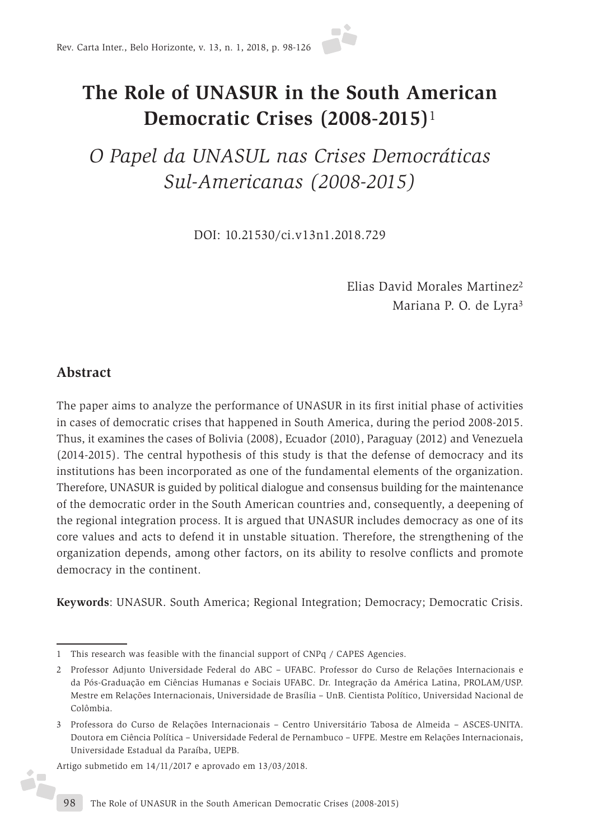# **The Role of UNASUR in the South American Democratic Crises (2008-2015)**<sup>1</sup>

# *O Papel da UNASUL nas Crises Democráticas Sul-Americanas (2008-2015)*

DOI: 10.21530/ci.v13n1.2018.729

Elias David Morales Martinez2 Mariana P. O. de Lyra3

# **Abstract**

é,

The paper aims to analyze the performance of UNASUR in its first initial phase of activities in cases of democratic crises that happened in South America, during the period 2008-2015. Thus, it examines the cases of Bolivia (2008), Ecuador (2010), Paraguay (2012) and Venezuela (2014-2015). The central hypothesis of this study is that the defense of democracy and its institutions has been incorporated as one of the fundamental elements of the organization. Therefore, UNASUR is guided by political dialogue and consensus building for the maintenance of the democratic order in the South American countries and, consequently, a deepening of the regional integration process. It is argued that UNASUR includes democracy as one of its core values and acts to defend it in unstable situation. Therefore, the strengthening of the organization depends, among other factors, on its ability to resolve conflicts and promote democracy in the continent.

**Keywords**: UNASUR. South America; Regional Integration; Democracy; Democratic Crisis.

Artigo submetido em 14/11/2017 e aprovado em 13/03/2018.

<sup>1</sup> This research was feasible with the financial support of CNPq / CAPES Agencies.

<sup>2</sup> Professor Adjunto Universidade Federal do ABC – UFABC. Professor do Curso de Relações Internacionais e da Pós-Graduação em Ciências Humanas e Sociais UFABC. Dr. Integração da América Latina, PROLAM/USP. Mestre em Relações Internacionais, Universidade de Brasília – UnB. Cientista Político, Universidad Nacional de Colômbia.

<sup>3</sup> Professora do Curso de Relações Internacionais – Centro Universitário Tabosa de Almeida – ASCES-UNITA. Doutora em Ciência Política – Universidade Federal de Pernambuco – UFPE. Mestre em Relações Internacionais, Universidade Estadual da Paraíba, UEPB.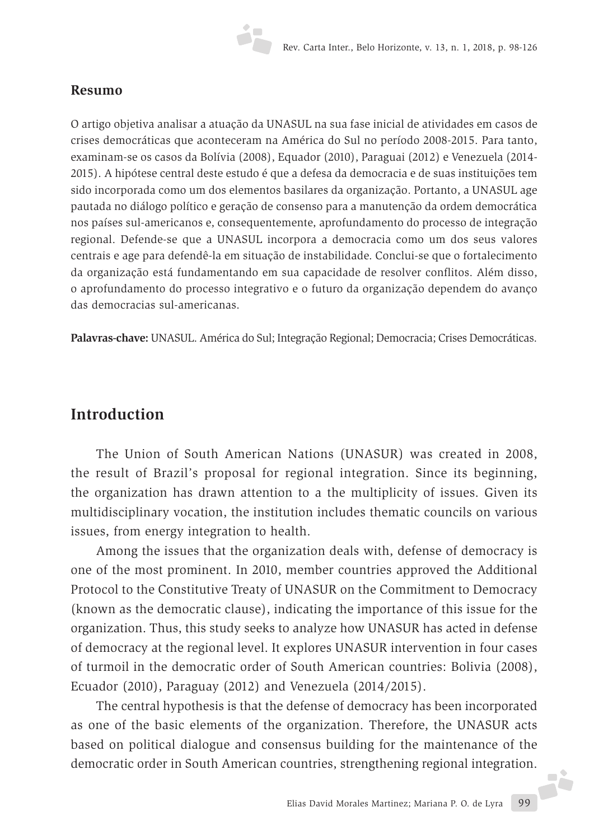#### **Resumo**

O artigo objetiva analisar a atuação da UNASUL na sua fase inicial de atividades em casos de crises democráticas que aconteceram na América do Sul no período 2008-2015. Para tanto, examinam-se os casos da Bolívia (2008), Equador (2010), Paraguai (2012) e Venezuela (2014- 2015). A hipótese central deste estudo é que a defesa da democracia e de suas instituições tem sido incorporada como um dos elementos basilares da organização. Portanto, a UNASUL age pautada no diálogo político e geração de consenso para a manutenção da ordem democrática nos países sul-americanos e, consequentemente, aprofundamento do processo de integração regional. Defende-se que a UNASUL incorpora a democracia como um dos seus valores centrais e age para defendê-la em situação de instabilidade. Conclui-se que o fortalecimento da organização está fundamentando em sua capacidade de resolver conflitos. Além disso, o aprofundamento do processo integrativo e o futuro da organização dependem do avanço das democracias sul-americanas.

**Palavras-chave:** UNASUL. América do Sul; Integração Regional; Democracia; Crises Democráticas.

# **Introduction**

The Union of South American Nations (UNASUR) was created in 2008, the result of Brazil's proposal for regional integration. Since its beginning, the organization has drawn attention to a the multiplicity of issues. Given its multidisciplinary vocation, the institution includes thematic councils on various issues, from energy integration to health.

Among the issues that the organization deals with, defense of democracy is one of the most prominent. In 2010, member countries approved the Additional Protocol to the Constitutive Treaty of UNASUR on the Commitment to Democracy (known as the democratic clause), indicating the importance of this issue for the organization. Thus, this study seeks to analyze how UNASUR has acted in defense of democracy at the regional level. It explores UNASUR intervention in four cases of turmoil in the democratic order of South American countries: Bolivia (2008), Ecuador (2010), Paraguay (2012) and Venezuela (2014/2015).

Elias David Morales Martinez; Mariana P. O. de Lyra 99 The central hypothesis is that the defense of democracy has been incorporated as one of the basic elements of the organization. Therefore, the UNASUR acts based on political dialogue and consensus building for the maintenance of the democratic order in South American countries, strengthening regional integration.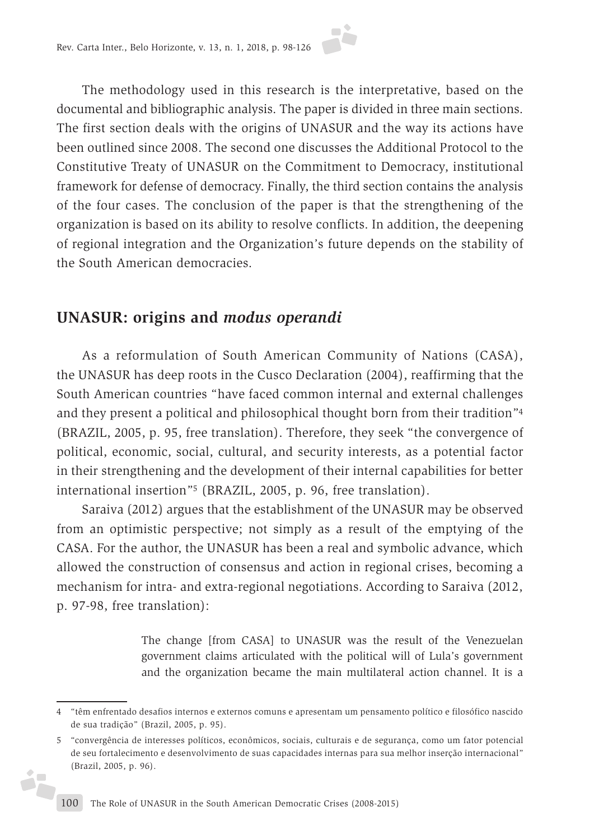The methodology used in this research is the interpretative, based on the documental and bibliographic analysis. The paper is divided in three main sections. The first section deals with the origins of UNASUR and the way its actions have been outlined since 2008. The second one discusses the Additional Protocol to the Constitutive Treaty of UNASUR on the Commitment to Democracy, institutional framework for defense of democracy. Finally, the third section contains the analysis of the four cases. The conclusion of the paper is that the strengthening of the organization is based on its ability to resolve conflicts. In addition, the deepening of regional integration and the Organization's future depends on the stability of the South American democracies.

# **UNASUR: origins and** *modus operandi*

As a reformulation of South American Community of Nations (CASA), the UNASUR has deep roots in the Cusco Declaration (2004), reaffirming that the South American countries "have faced common internal and external challenges and they present a political and philosophical thought born from their tradition"4 (BRAZIL, 2005, p. 95, free translation). Therefore, they seek "the convergence of political, economic, social, cultural, and security interests, as a potential factor in their strengthening and the development of their internal capabilities for better international insertion"5 (BRAZIL, 2005, p. 96, free translation).

Saraiva (2012) argues that the establishment of the UNASUR may be observed from an optimistic perspective; not simply as a result of the emptying of the CASA. For the author, the UNASUR has been a real and symbolic advance, which allowed the construction of consensus and action in regional crises, becoming a mechanism for intra- and extra-regional negotiations. According to Saraiva (2012, p. 97-98, free translation):

> The change [from CASA] to UNASUR was the result of the Venezuelan government claims articulated with the political will of Lula's government and the organization became the main multilateral action channel. It is a

j.

<sup>4</sup> "têm enfrentado desafios internos e externos comuns e apresentam um pensamento político e filosófico nascido de sua tradição" (Brazil, 2005, p. 95).

<sup>5</sup> "convergência de interesses políticos, econômicos, sociais, culturais e de segurança, como um fator potencial de seu fortalecimento e desenvolvimento de suas capacidades internas para sua melhor inserção internacional" (Brazil, 2005, p. 96).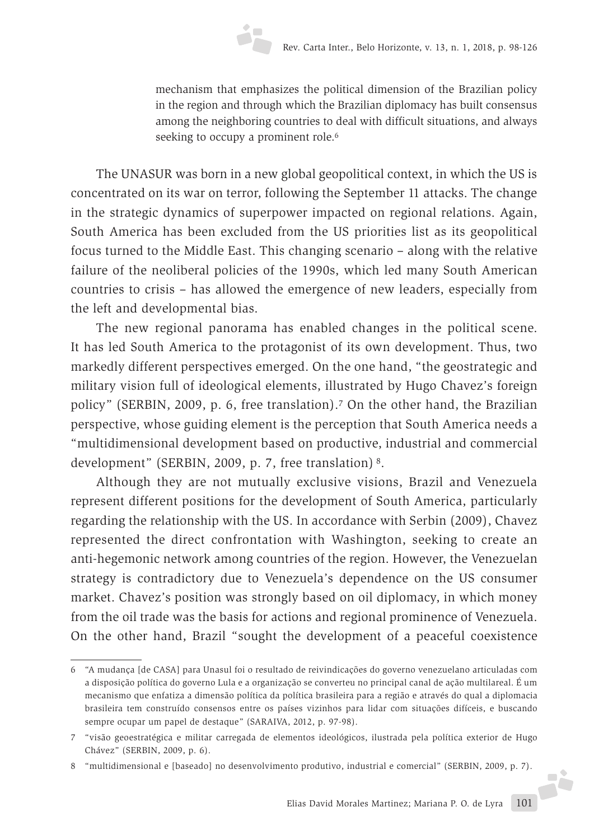mechanism that emphasizes the political dimension of the Brazilian policy in the region and through which the Brazilian diplomacy has built consensus among the neighboring countries to deal with difficult situations, and always seeking to occupy a prominent role.<sup>6</sup>

The UNASUR was born in a new global geopolitical context, in which the US is concentrated on its war on terror, following the September 11 attacks. The change in the strategic dynamics of superpower impacted on regional relations. Again, South America has been excluded from the US priorities list as its geopolitical focus turned to the Middle East. This changing scenario – along with the relative failure of the neoliberal policies of the 1990s, which led many South American countries to crisis – has allowed the emergence of new leaders, especially from the left and developmental bias.

The new regional panorama has enabled changes in the political scene. It has led South America to the protagonist of its own development. Thus, two markedly different perspectives emerged. On the one hand, "the geostrategic and military vision full of ideological elements, illustrated by Hugo Chavez's foreign policy" (SERBIN, 2009, p. 6, free translation).7 On the other hand, the Brazilian perspective, whose guiding element is the perception that South America needs a "multidimensional development based on productive, industrial and commercial development" (SERBIN, 2009, p. 7, free translation) 8.

Although they are not mutually exclusive visions, Brazil and Venezuela represent different positions for the development of South America, particularly regarding the relationship with the US. In accordance with Serbin (2009), Chavez represented the direct confrontation with Washington, seeking to create an anti-hegemonic network among countries of the region. However, the Venezuelan strategy is contradictory due to Venezuela's dependence on the US consumer market. Chavez's position was strongly based on oil diplomacy, in which money from the oil trade was the basis for actions and regional prominence of Venezuela. On the other hand, Brazil "sought the development of a peaceful coexistence

<sup>6</sup> "A mudança [de CASA] para Unasul foi o resultado de reivindicações do governo venezuelano articuladas com a disposição política do governo Lula e a organização se converteu no principal canal de ação multilareal. É um mecanismo que enfatiza a dimensão política da política brasileira para a região e através do qual a diplomacia brasileira tem construído consensos entre os países vizinhos para lidar com situações difíceis, e buscando sempre ocupar um papel de destaque" (SARAIVA, 2012, p. 97-98).

<sup>7</sup> "visão geoestratégica e militar carregada de elementos ideológicos, ilustrada pela política exterior de Hugo Chávez" (SERBIN, 2009, p. 6).

<sup>8</sup> "multidimensional e [baseado] no desenvolvimento produtivo, industrial e comercial" (SERBIN, 2009, p. 7).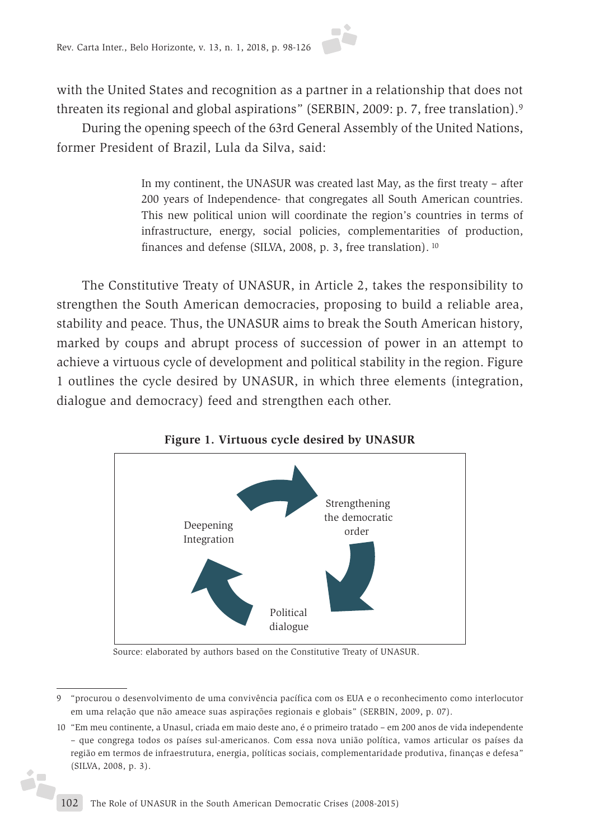with the United States and recognition as a partner in a relationship that does not threaten its regional and global aspirations" (SERBIN, 2009: p. 7, free translation).9

During the opening speech of the 63rd General Assembly of the United Nations, former President of Brazil, Lula da Silva, said:

> In my continent, the UNASUR was created last May, as the first treaty – after 200 years of Independence- that congregates all South American countries. This new political union will coordinate the region's countries in terms of infrastructure, energy, social policies, complementarities of production, finances and defense (SILVA, 2008, p. 3, free translation). <sup>10</sup>

The Constitutive Treaty of UNASUR, in Article 2, takes the responsibility to strengthen the South American democracies, proposing to build a reliable area, stability and peace. Thus, the UNASUR aims to break the South American history, marked by coups and abrupt process of succession of power in an attempt to achieve a virtuous cycle of development and political stability in the region. Figure 1 outlines the cycle desired by UNASUR, in which three elements (integration, dialogue and democracy) feed and strengthen each other.



**Figure 1. Virtuous cycle desired by UNASUR**

Source: elaborated by authors based on the Constitutive Treaty of UNASUR.

Ď.

<sup>9</sup> "procurou o desenvolvimento de uma convivência pacífica com os EUA e o reconhecimento como interlocutor em uma relação que não ameace suas aspirações regionais e globais" (SERBIN, 2009, p. 07).

<sup>10</sup> "Em meu continente, a Unasul, criada em maio deste ano, é o primeiro tratado – em 200 anos de vida independente – que congrega todos os países sul-americanos. Com essa nova união política, vamos articular os países da região em termos de infraestrutura, energia, políticas sociais, complementaridade produtiva, finanças e defesa" (SILVA, 2008, p. 3).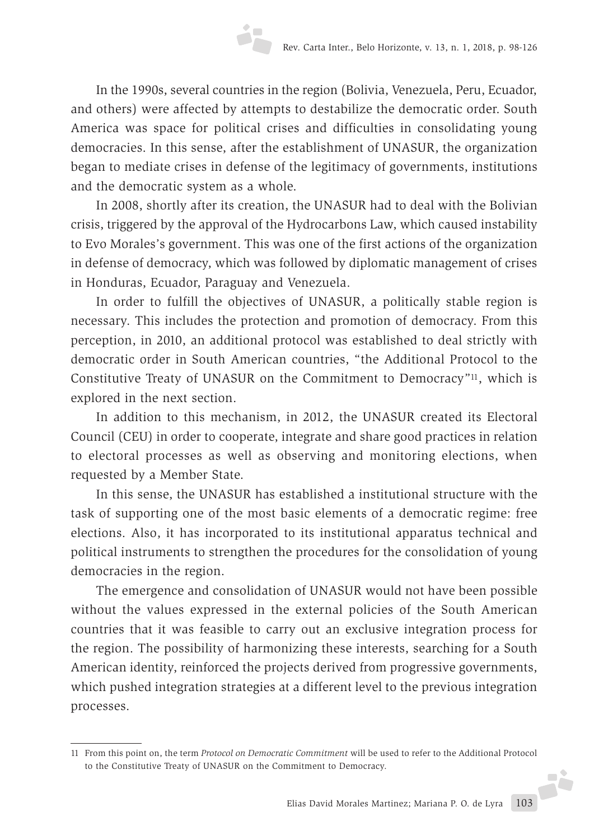In the 1990s, several countries in the region (Bolivia, Venezuela, Peru, Ecuador, and others) were affected by attempts to destabilize the democratic order. South America was space for political crises and difficulties in consolidating young democracies. In this sense, after the establishment of UNASUR, the organization began to mediate crises in defense of the legitimacy of governments, institutions and the democratic system as a whole.

In 2008, shortly after its creation, the UNASUR had to deal with the Bolivian crisis, triggered by the approval of the Hydrocarbons Law, which caused instability to Evo Morales's government. This was one of the first actions of the organization in defense of democracy, which was followed by diplomatic management of crises in Honduras, Ecuador, Paraguay and Venezuela.

In order to fulfill the objectives of UNASUR, a politically stable region is necessary. This includes the protection and promotion of democracy. From this perception, in 2010, an additional protocol was established to deal strictly with democratic order in South American countries, "the Additional Protocol to the Constitutive Treaty of UNASUR on the Commitment to Democracy"11, which is explored in the next section.

In addition to this mechanism, in 2012, the UNASUR created its Electoral Council (CEU) in order to cooperate, integrate and share good practices in relation to electoral processes as well as observing and monitoring elections, when requested by a Member State.

In this sense, the UNASUR has established a institutional structure with the task of supporting one of the most basic elements of a democratic regime: free elections. Also, it has incorporated to its institutional apparatus technical and political instruments to strengthen the procedures for the consolidation of young democracies in the region.

The emergence and consolidation of UNASUR would not have been possible without the values expressed in the external policies of the South American countries that it was feasible to carry out an exclusive integration process for the region. The possibility of harmonizing these interests, searching for a South American identity, reinforced the projects derived from progressive governments, which pushed integration strategies at a different level to the previous integration processes.

<sup>11</sup> From this point on, the term *Protocol on Democratic Commitment* will be used to refer to the Additional Protocol to the Constitutive Treaty of UNASUR on the Commitment to Democracy.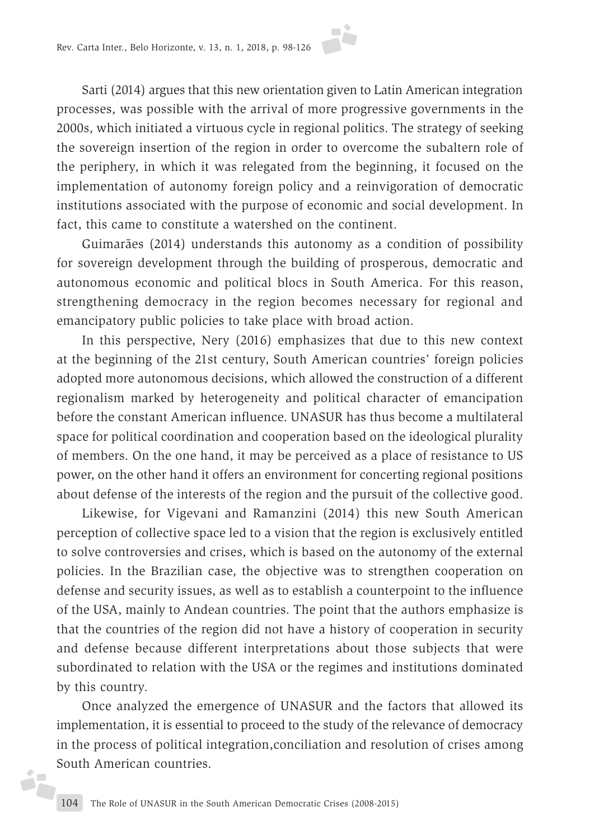Sarti (2014) argues that this new orientation given to Latin American integration processes, was possible with the arrival of more progressive governments in the 2000s, which initiated a virtuous cycle in regional politics. The strategy of seeking the sovereign insertion of the region in order to overcome the subaltern role of the periphery, in which it was relegated from the beginning, it focused on the implementation of autonomy foreign policy and a reinvigoration of democratic institutions associated with the purpose of economic and social development. In fact, this came to constitute a watershed on the continent.

Guimarães (2014) understands this autonomy as a condition of possibility for sovereign development through the building of prosperous, democratic and autonomous economic and political blocs in South America. For this reason, strengthening democracy in the region becomes necessary for regional and emancipatory public policies to take place with broad action.

In this perspective, Nery (2016) emphasizes that due to this new context at the beginning of the 21st century, South American countries' foreign policies adopted more autonomous decisions, which allowed the construction of a different regionalism marked by heterogeneity and political character of emancipation before the constant American influence. UNASUR has thus become a multilateral space for political coordination and cooperation based on the ideological plurality of members. On the one hand, it may be perceived as a place of resistance to US power, on the other hand it offers an environment for concerting regional positions about defense of the interests of the region and the pursuit of the collective good.

Likewise, for Vigevani and Ramanzini (2014) this new South American perception of collective space led to a vision that the region is exclusively entitled to solve controversies and crises, which is based on the autonomy of the external policies. In the Brazilian case, the objective was to strengthen cooperation on defense and security issues, as well as to establish a counterpoint to the influence of the USA, mainly to Andean countries. The point that the authors emphasize is that the countries of the region did not have a history of cooperation in security and defense because different interpretations about those subjects that were subordinated to relation with the USA or the regimes and institutions dominated by this country.

Once analyzed the emergence of UNASUR and the factors that allowed its implementation, it is essential to proceed to the study of the relevance of democracy in the process of political integration,conciliation and resolution of crises among South American countries.

j.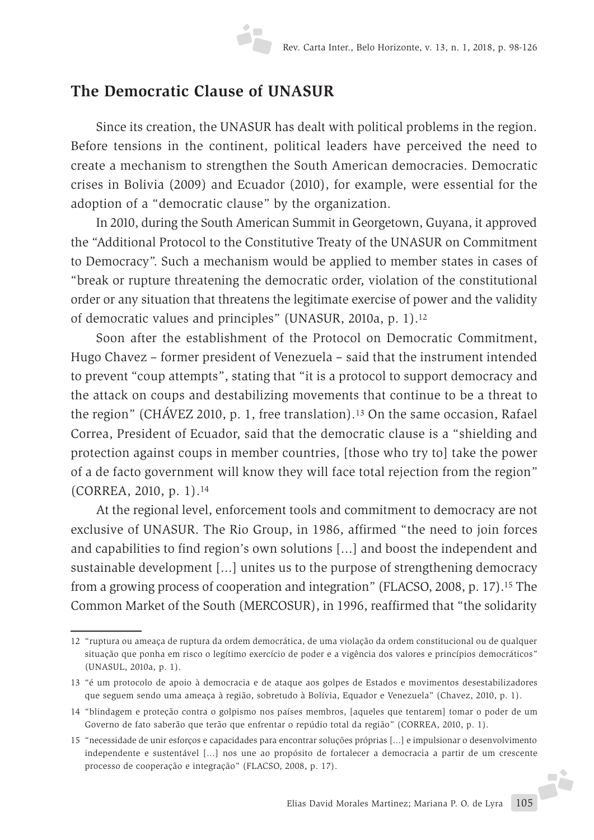# **The Democratic Clause of UNASUR**

Since its creation, the UNASUR has dealt with political problems in the region. Before tensions in the continent, political leaders have perceived the need to create a mechanism to strengthen the South American democracies. Democratic crises in Bolivia (2009) and Ecuador (2010), for example, were essential for the adoption of a "democratic clause" by the organization.

In 2010, during the South American Summit in Georgetown, Guyana, it approved the "Additional Protocol to the Constitutive Treaty of the UNASUR on Commitment to Democracy". Such a mechanism would be applied to member states in cases of "break or rupture threatening the democratic order, violation of the constitutional order or any situation that threatens the legitimate exercise of power and the validity of democratic values and principles" (UNASUR, 2010a, p. 1).12

Soon after the establishment of the Protocol on Democratic Commitment, Hugo Chavez – former president of Venezuela – said that the instrument intended to prevent "coup attempts", stating that "it is a protocol to support democracy and the attack on coups and destabilizing movements that continue to be a threat to the region" (CHÁVEZ 2010, p. 1, free translation).13 On the same occasion, Rafael Correa, President of Ecuador, said that the democratic clause is a "shielding and protection against coups in member countries, [those who try to] take the power of a de facto government will know they will face total rejection from the region" (CORREA, 2010, p. 1).14

At the regional level, enforcement tools and commitment to democracy are not exclusive of UNASUR. The Rio Group, in 1986, affirmed "the need to join forces and capabilities to find region's own solutions [...] and boost the independent and sustainable development [...] unites us to the purpose of strengthening democracy from a growing process of cooperation and integration" (FLACSO, 2008, p. 17).15 The Common Market of the South (MERCOSUR), in 1996, reaffirmed that "the solidarity

<sup>12</sup> "ruptura ou ameaça de ruptura da ordem democrática, de uma violação da ordem constitucional ou de qualquer situação que ponha em risco o legítimo exercício de poder e a vigência dos valores e princípios democráticos" (UNASUL, 2010a, p. 1).

<sup>13</sup> "é um protocolo de apoio à democracia e de ataque aos golpes de Estados e movimentos desestabilizadores que seguem sendo uma ameaça à região, sobretudo à Bolívia, Equador e Venezuela" (Chavez, 2010, p. 1).

<sup>14</sup> "blindagem e proteção contra o golpismo nos países membros, [aqueles que tentarem] tomar o poder de um Governo de fato saberão que terão que enfrentar o repúdio total da região" (CORREA, 2010, p. 1).

<sup>15</sup> "necessidade de unir esforços e capacidades para encontrar soluções próprias [...] e impulsionar o desenvolvimento independente e sustentável [...] nos une ao propósito de fortalecer a democracia a partir de um crescente processo de cooperação e integração" (FLACSO, 2008, p. 17).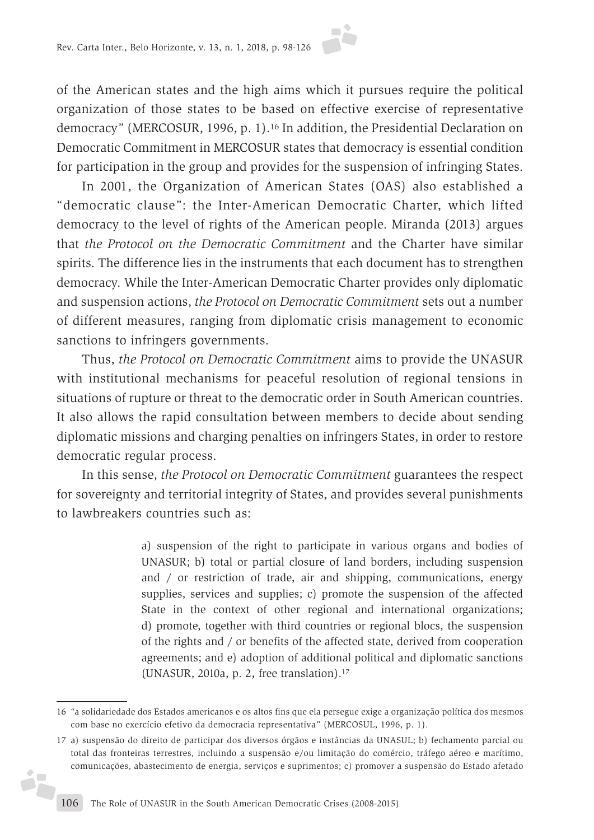of the American states and the high aims which it pursues require the political organization of those states to be based on effective exercise of representative democracy" (MERCOSUR, 1996, p. 1).16 In addition, the Presidential Declaration on Democratic Commitment in MERCOSUR states that democracy is essential condition for participation in the group and provides for the suspension of infringing States.

In 2001, the Organization of American States (OAS) also established a "democratic clause": the Inter-American Democratic Charter, which lifted democracy to the level of rights of the American people. Miranda (2013) argues that *the Protocol on the Democratic Commitment* and the Charter have similar spirits. The difference lies in the instruments that each document has to strengthen democracy. While the Inter-American Democratic Charter provides only diplomatic and suspension actions, *the Protocol on Democratic Commitment* sets out a number of different measures, ranging from diplomatic crisis management to economic sanctions to infringers governments.

Thus, *the Protocol on Democratic Commitment* aims to provide the UNASUR with institutional mechanisms for peaceful resolution of regional tensions in situations of rupture or threat to the democratic order in South American countries. It also allows the rapid consultation between members to decide about sending diplomatic missions and charging penalties on infringers States, in order to restore democratic regular process.

In this sense, *the Protocol on Democratic Commitment* guarantees the respect for sovereignty and territorial integrity of States, and provides several punishments to lawbreakers countries such as:

> a) suspension of the right to participate in various organs and bodies of UNASUR; b) total or partial closure of land borders, including suspension and / or restriction of trade, air and shipping, communications, energy supplies, services and supplies; c) promote the suspension of the affected State in the context of other regional and international organizations; d) promote, together with third countries or regional blocs, the suspension of the rights and / or benefits of the affected state, derived from cooperation agreements; and e) adoption of additional political and diplomatic sanctions (UNASUR, 2010a, p. 2, free translation).17

i,

<sup>16</sup> "a solidariedade dos Estados americanos e os altos fins que ela persegue exige a organização política dos mesmos com base no exercício efetivo da democracia representativa" (MERCOSUL, 1996, p. 1).

<sup>17</sup> a) suspensão do direito de participar dos diversos órgãos e instâncias da UNASUL; b) fechamento parcial ou total das fronteiras terrestres, incluindo a suspensão e/ou limitação do comércio, tráfego aéreo e marítimo, comunicações, abastecimento de energia, serviços e suprimentos; c) promover a suspensão do Estado afetado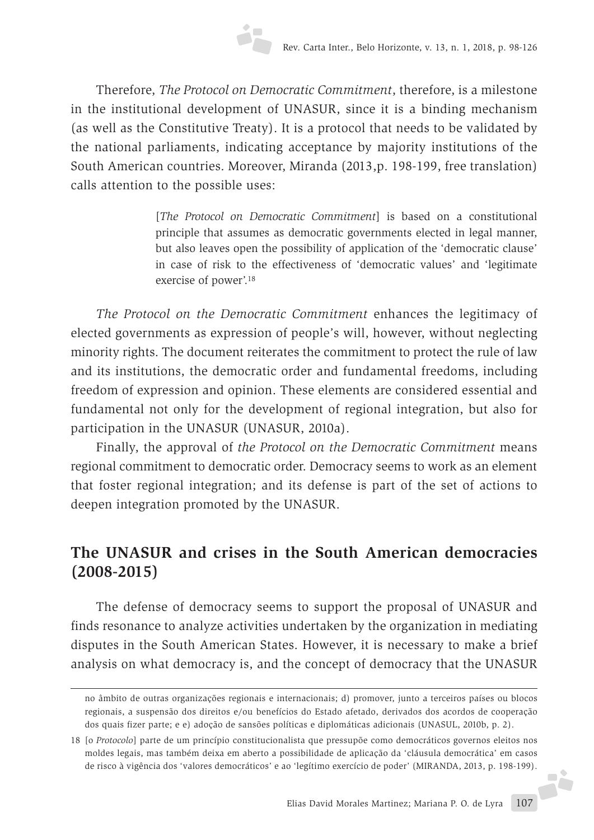Therefore, *The Protocol on Democratic Commitment*, therefore, is a milestone in the institutional development of UNASUR, since it is a binding mechanism (as well as the Constitutive Treaty). It is a protocol that needs to be validated by the national parliaments, indicating acceptance by majority institutions of the South American countries. Moreover, Miranda (2013,p. 198-199, free translation) calls attention to the possible uses:

> [*The Protocol on Democratic Commitment*] is based on a constitutional principle that assumes as democratic governments elected in legal manner, but also leaves open the possibility of application of the 'democratic clause' in case of risk to the effectiveness of 'democratic values' and 'legitimate exercise of power'.18

*The Protocol on the Democratic Commitment* enhances the legitimacy of elected governments as expression of people's will, however, without neglecting minority rights. The document reiterates the commitment to protect the rule of law and its institutions, the democratic order and fundamental freedoms, including freedom of expression and opinion. These elements are considered essential and fundamental not only for the development of regional integration, but also for participation in the UNASUR (UNASUR, 2010a).

Finally, the approval of *the Protocol on the Democratic Commitment* means regional commitment to democratic order. Democracy seems to work as an element that foster regional integration; and its defense is part of the set of actions to deepen integration promoted by the UNASUR.

# **The UNASUR and crises in the South American democracies (2008-2015)**

The defense of democracy seems to support the proposal of UNASUR and finds resonance to analyze activities undertaken by the organization in mediating disputes in the South American States. However, it is necessary to make a brief analysis on what democracy is, and the concept of democracy that the UNASUR

-jà

no âmbito de outras organizações regionais e internacionais; d) promover, junto a terceiros países ou blocos regionais, a suspensão dos direitos e/ou benefícios do Estado afetado, derivados dos acordos de cooperação dos quais fizer parte; e e) adoção de sansões políticas e diplomáticas adicionais (UNASUL, 2010b, p. 2).

<sup>18</sup> [o *Protocolo*] parte de um princípio constitucionalista que pressupõe como democráticos governos eleitos nos moldes legais, mas também deixa em aberto a possibilidade de aplicação da 'cláusula democrática' em casos de risco à vigência dos 'valores democráticos' e ao 'legítimo exercício de poder' (MIRANDA, 2013, p. 198-199).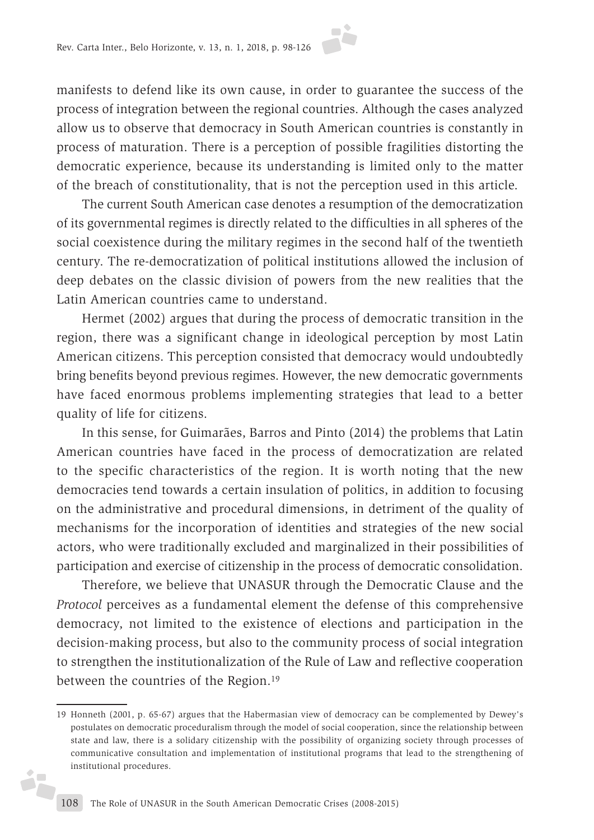manifests to defend like its own cause, in order to guarantee the success of the process of integration between the regional countries. Although the cases analyzed allow us to observe that democracy in South American countries is constantly in process of maturation. There is a perception of possible fragilities distorting the democratic experience, because its understanding is limited only to the matter of the breach of constitutionality, that is not the perception used in this article.

The current South American case denotes a resumption of the democratization of its governmental regimes is directly related to the difficulties in all spheres of the social coexistence during the military regimes in the second half of the twentieth century. The re-democratization of political institutions allowed the inclusion of deep debates on the classic division of powers from the new realities that the Latin American countries came to understand.

Hermet (2002) argues that during the process of democratic transition in the region, there was a significant change in ideological perception by most Latin American citizens. This perception consisted that democracy would undoubtedly bring benefits beyond previous regimes. However, the new democratic governments have faced enormous problems implementing strategies that lead to a better quality of life for citizens.

In this sense, for Guimarães, Barros and Pinto (2014) the problems that Latin American countries have faced in the process of democratization are related to the specific characteristics of the region. It is worth noting that the new democracies tend towards a certain insulation of politics, in addition to focusing on the administrative and procedural dimensions, in detriment of the quality of mechanisms for the incorporation of identities and strategies of the new social actors, who were traditionally excluded and marginalized in their possibilities of participation and exercise of citizenship in the process of democratic consolidation.

Therefore, we believe that UNASUR through the Democratic Clause and the *Protocol* perceives as a fundamental element the defense of this comprehensive democracy, not limited to the existence of elections and participation in the decision-making process, but also to the community process of social integration to strengthen the institutionalization of the Rule of Law and reflective cooperation between the countries of the Region.19

j.

<sup>19</sup> Honneth (2001, p. 65-67) argues that the Habermasian view of democracy can be complemented by Dewey's postulates on democratic proceduralism through the model of social cooperation, since the relationship between state and law, there is a solidary citizenship with the possibility of organizing society through processes of communicative consultation and implementation of institutional programs that lead to the strengthening of institutional procedures.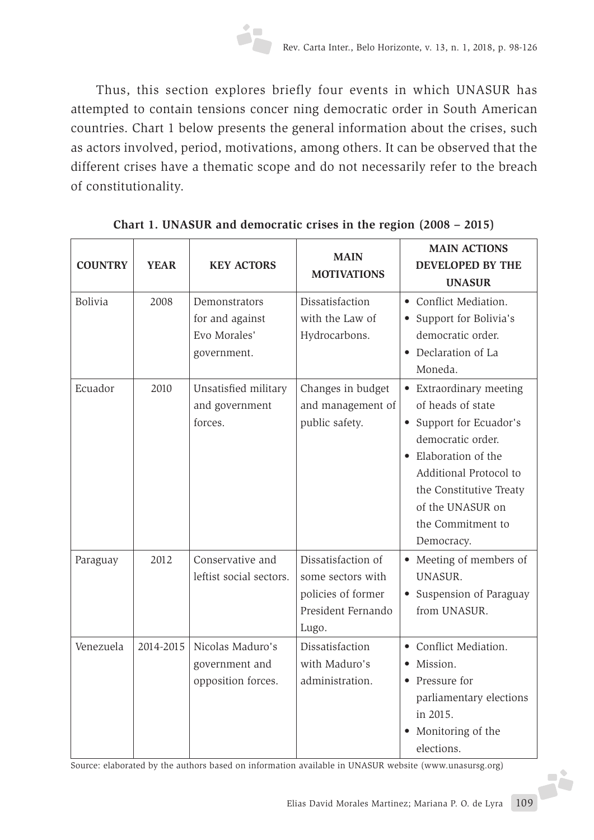

Thus, this section explores briefly four events in which UNASUR has attempted to contain tensions concer ning democratic order in South American countries. Chart 1 below presents the general information about the crises, such as actors involved, period, motivations, among others. It can be observed that the different crises have a thematic scope and do not necessarily refer to the breach of constitutionality.

| <b>COUNTRY</b> | <b>YEAR</b> | <b>KEY ACTORS</b>                                               | <b>MAIN</b><br><b>MOTIVATIONS</b>                                                            | <b>MAIN ACTIONS</b><br><b>DEVELOPED BY THE</b><br><b>UNASUR</b>                                                                                                                                                                |
|----------------|-------------|-----------------------------------------------------------------|----------------------------------------------------------------------------------------------|--------------------------------------------------------------------------------------------------------------------------------------------------------------------------------------------------------------------------------|
| <b>Bolivia</b> | 2008        | Demonstrators<br>for and against<br>Evo Morales'<br>government. | Dissatisfaction<br>with the Law of<br>Hydrocarbons.                                          | • Conflict Mediation.<br>• Support for Bolivia's<br>democratic order.<br>• Declaration of La<br>Moneda.                                                                                                                        |
| Ecuador        | 2010        | Unsatisfied military<br>and government<br>forces.               | Changes in budget<br>and management of<br>public safety.                                     | • Extraordinary meeting<br>of heads of state<br>• Support for Ecuador's<br>democratic order.<br>Elaboration of the<br>Additional Protocol to<br>the Constitutive Treaty<br>of the UNASUR on<br>the Commitment to<br>Democracy. |
| Paraguay       | 2012        | Conservative and<br>leftist social sectors.                     | Dissatisfaction of<br>some sectors with<br>policies of former<br>President Fernando<br>Lugo. | • Meeting of members of<br>UNASUR.<br>• Suspension of Paraguay<br>from UNASUR.                                                                                                                                                 |
| Venezuela      | 2014-2015   | Nicolas Maduro's<br>government and<br>opposition forces.        | Dissatisfaction<br>with Maduro's<br>administration.                                          | • Conflict Mediation.<br>Mission.<br>• Pressure for<br>parliamentary elections<br>in 2015.<br>• Monitoring of the<br>elections.                                                                                                |

**Chart 1. UNASUR and democratic crises in the region (2008 – 2015)**

Source: elaborated by the authors based on information available in UNASUR website (www.unasursg.org)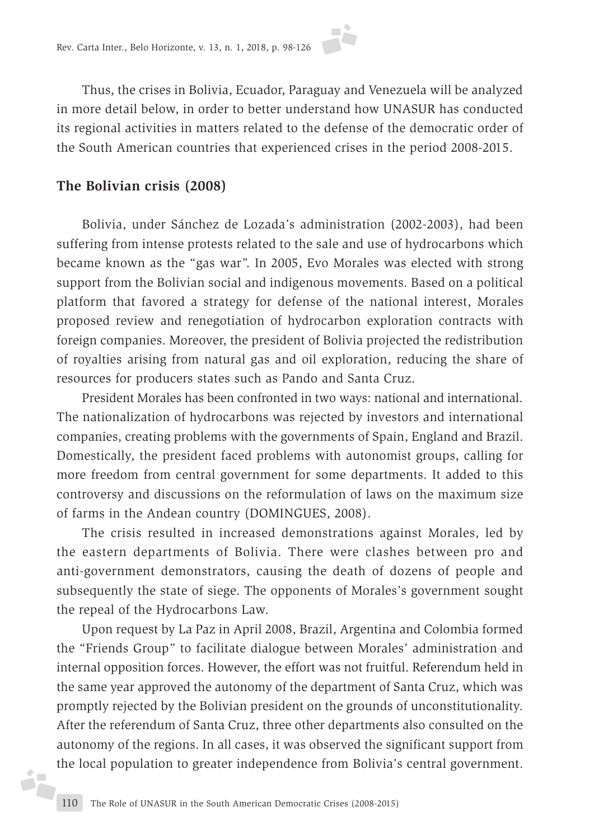

Thus, the crises in Bolivia, Ecuador, Paraguay and Venezuela will be analyzed in more detail below, in order to better understand how UNASUR has conducted its regional activities in matters related to the defense of the democratic order of the South American countries that experienced crises in the period 2008-2015.

### **The Bolivian crisis (2008)**

Bolivia, under Sánchez de Lozada's administration (2002-2003), had been suffering from intense protests related to the sale and use of hydrocarbons which became known as the "gas war". In 2005, Evo Morales was elected with strong support from the Bolivian social and indigenous movements. Based on a political platform that favored a strategy for defense of the national interest, Morales proposed review and renegotiation of hydrocarbon exploration contracts with foreign companies. Moreover, the president of Bolivia projected the redistribution of royalties arising from natural gas and oil exploration, reducing the share of resources for producers states such as Pando and Santa Cruz.

President Morales has been confronted in two ways: national and international. The nationalization of hydrocarbons was rejected by investors and international companies, creating problems with the governments of Spain, England and Brazil. Domestically, the president faced problems with autonomist groups, calling for more freedom from central government for some departments. It added to this controversy and discussions on the reformulation of laws on the maximum size of farms in the Andean country (DOMINGUES, 2008).

The crisis resulted in increased demonstrations against Morales, led by the eastern departments of Bolivia. There were clashes between pro and anti-government demonstrators, causing the death of dozens of people and subsequently the state of siege. The opponents of Morales's government sought the repeal of the Hydrocarbons Law.

Upon request by La Paz in April 2008, Brazil, Argentina and Colombia formed the "Friends Group" to facilitate dialogue between Morales' administration and internal opposition forces. However, the effort was not fruitful. Referendum held in the same year approved the autonomy of the department of Santa Cruz, which was promptly rejected by the Bolivian president on the grounds of unconstitutionality. After the referendum of Santa Cruz, three other departments also consulted on the autonomy of the regions. In all cases, it was observed the significant support from the local population to greater independence from Bolivia's central government.

d.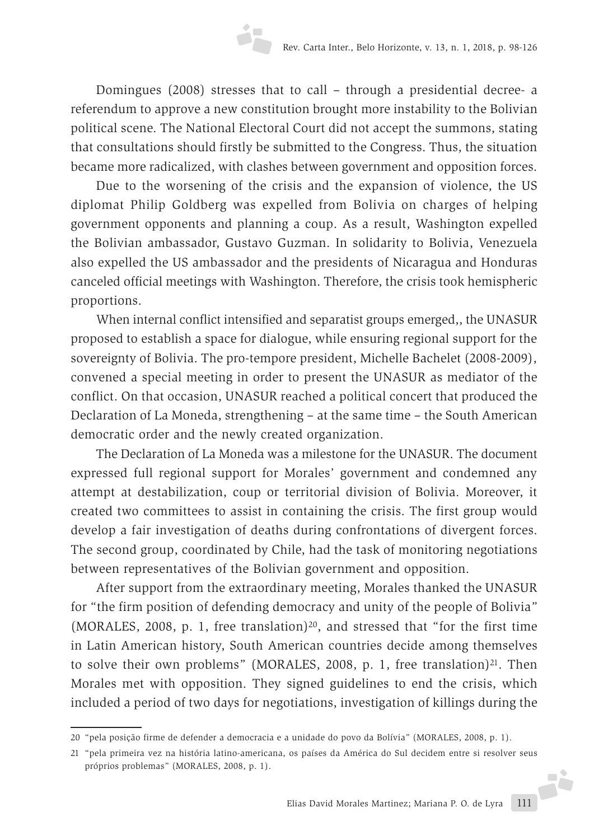Domingues (2008) stresses that to call – through a presidential decree- a referendum to approve a new constitution brought more instability to the Bolivian political scene. The National Electoral Court did not accept the summons, stating that consultations should firstly be submitted to the Congress. Thus, the situation became more radicalized, with clashes between government and opposition forces.

Due to the worsening of the crisis and the expansion of violence, the US diplomat Philip Goldberg was expelled from Bolivia on charges of helping government opponents and planning a coup. As a result, Washington expelled the Bolivian ambassador, Gustavo Guzman. In solidarity to Bolivia, Venezuela also expelled the US ambassador and the presidents of Nicaragua and Honduras canceled official meetings with Washington. Therefore, the crisis took hemispheric proportions.

When internal conflict intensified and separatist groups emerged,, the UNASUR proposed to establish a space for dialogue, while ensuring regional support for the sovereignty of Bolivia. The pro-tempore president, Michelle Bachelet (2008-2009), convened a special meeting in order to present the UNASUR as mediator of the conflict. On that occasion, UNASUR reached a political concert that produced the Declaration of La Moneda, strengthening – at the same time – the South American democratic order and the newly created organization.

The Declaration of La Moneda was a milestone for the UNASUR. The document expressed full regional support for Morales' government and condemned any attempt at destabilization, coup or territorial division of Bolivia. Moreover, it created two committees to assist in containing the crisis. The first group would develop a fair investigation of deaths during confrontations of divergent forces. The second group, coordinated by Chile, had the task of monitoring negotiations between representatives of the Bolivian government and opposition.

After support from the extraordinary meeting, Morales thanked the UNASUR for "the firm position of defending democracy and unity of the people of Bolivia" (MORALES, 2008, p. 1, free translation)<sup>20</sup>, and stressed that "for the first time in Latin American history, South American countries decide among themselves to solve their own problems" (MORALES, 2008, p. 1, free translation) $^{21}$ . Then Morales met with opposition. They signed guidelines to end the crisis, which included a period of two days for negotiations, investigation of killings during the

<sup>20</sup> "pela posição firme de defender a democracia e a unidade do povo da Bolívia" (MORALES, 2008, p. 1).

<sup>21</sup> "pela primeira vez na história latino-americana, os países da América do Sul decidem entre si resolver seus próprios problemas" (MORALES, 2008, p. 1).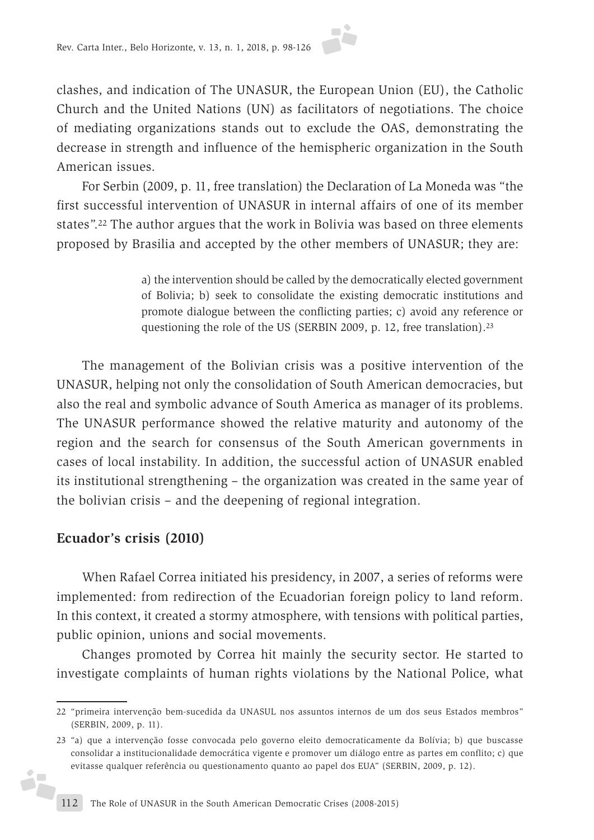clashes, and indication of The UNASUR, the European Union (EU), the Catholic Church and the United Nations (UN) as facilitators of negotiations. The choice of mediating organizations stands out to exclude the OAS, demonstrating the decrease in strength and influence of the hemispheric organization in the South American issues.

For Serbin (2009, p. 11, free translation) the Declaration of La Moneda was "the first successful intervention of UNASUR in internal affairs of one of its member states".22 The author argues that the work in Bolivia was based on three elements proposed by Brasilia and accepted by the other members of UNASUR; they are:

> a) the intervention should be called by the democratically elected government of Bolivia; b) seek to consolidate the existing democratic institutions and promote dialogue between the conflicting parties; c) avoid any reference or questioning the role of the US (SERBIN 2009, p. 12, free translation).23

The management of the Bolivian crisis was a positive intervention of the UNASUR, helping not only the consolidation of South American democracies, but also the real and symbolic advance of South America as manager of its problems. The UNASUR performance showed the relative maturity and autonomy of the region and the search for consensus of the South American governments in cases of local instability. In addition, the successful action of UNASUR enabled its institutional strengthening – the organization was created in the same year of the bolivian crisis – and the deepening of regional integration.

# **Ecuador's crisis (2010)**

ó,

When Rafael Correa initiated his presidency, in 2007, a series of reforms were implemented: from redirection of the Ecuadorian foreign policy to land reform. In this context, it created a stormy atmosphere, with tensions with political parties, public opinion, unions and social movements.

Changes promoted by Correa hit mainly the security sector. He started to investigate complaints of human rights violations by the National Police, what

<sup>22</sup> "primeira intervenção bem-sucedida da UNASUL nos assuntos internos de um dos seus Estados membros" (SERBIN, 2009, p. 11).

<sup>23</sup> "a) que a intervenção fosse convocada pelo governo eleito democraticamente da Bolívia; b) que buscasse consolidar a institucionalidade democrática vigente e promover um diálogo entre as partes em conflito; c) que evitasse qualquer referência ou questionamento quanto ao papel dos EUA" (SERBIN, 2009, p. 12).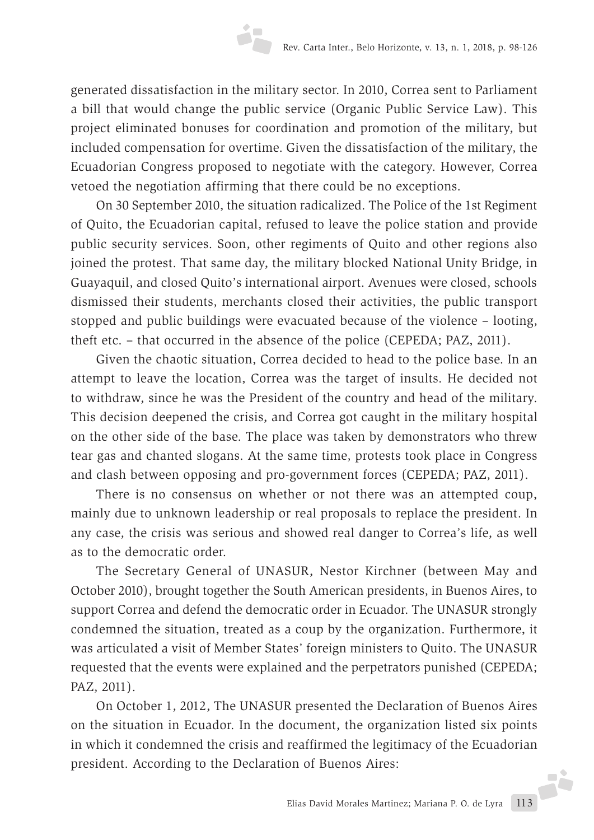generated dissatisfaction in the military sector. In 2010, Correa sent to Parliament a bill that would change the public service (Organic Public Service Law). This project eliminated bonuses for coordination and promotion of the military, but included compensation for overtime. Given the dissatisfaction of the military, the Ecuadorian Congress proposed to negotiate with the category. However, Correa vetoed the negotiation affirming that there could be no exceptions.

On 30 September 2010, the situation radicalized. The Police of the 1st Regiment of Quito, the Ecuadorian capital, refused to leave the police station and provide public security services. Soon, other regiments of Quito and other regions also joined the protest. That same day, the military blocked National Unity Bridge, in Guayaquil, and closed Quito's international airport. Avenues were closed, schools dismissed their students, merchants closed their activities, the public transport stopped and public buildings were evacuated because of the violence – looting, theft etc. – that occurred in the absence of the police (CEPEDA; PAZ, 2011).

Given the chaotic situation, Correa decided to head to the police base. In an attempt to leave the location, Correa was the target of insults. He decided not to withdraw, since he was the President of the country and head of the military. This decision deepened the crisis, and Correa got caught in the military hospital on the other side of the base. The place was taken by demonstrators who threw tear gas and chanted slogans. At the same time, protests took place in Congress and clash between opposing and pro-government forces (CEPEDA; PAZ, 2011).

There is no consensus on whether or not there was an attempted coup, mainly due to unknown leadership or real proposals to replace the president. In any case, the crisis was serious and showed real danger to Correa's life, as well as to the democratic order.

The Secretary General of UNASUR, Nestor Kirchner (between May and October 2010), brought together the South American presidents, in Buenos Aires, to support Correa and defend the democratic order in Ecuador. The UNASUR strongly condemned the situation, treated as a coup by the organization. Furthermore, it was articulated a visit of Member States' foreign ministers to Quito. The UNASUR requested that the events were explained and the perpetrators punished (CEPEDA; PAZ, 2011).

On October 1, 2012, The UNASUR presented the Declaration of Buenos Aires on the situation in Ecuador. In the document, the organization listed six points in which it condemned the crisis and reaffirmed the legitimacy of the Ecuadorian president. According to the Declaration of Buenos Aires: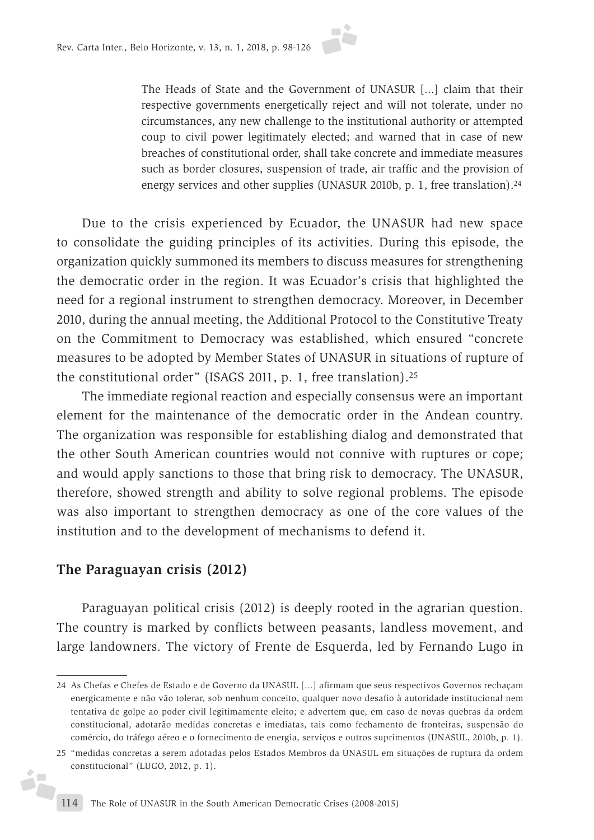

The Heads of State and the Government of UNASUR [...] claim that their respective governments energetically reject and will not tolerate, under no circumstances, any new challenge to the institutional authority or attempted coup to civil power legitimately elected; and warned that in case of new breaches of constitutional order, shall take concrete and immediate measures such as border closures, suspension of trade, air traffic and the provision of energy services and other supplies (UNASUR 2010b, p. 1, free translation).<sup>24</sup>

Due to the crisis experienced by Ecuador, the UNASUR had new space to consolidate the guiding principles of its activities. During this episode, the organization quickly summoned its members to discuss measures for strengthening the democratic order in the region. It was Ecuador's crisis that highlighted the need for a regional instrument to strengthen democracy. Moreover, in December 2010, during the annual meeting, the Additional Protocol to the Constitutive Treaty on the Commitment to Democracy was established, which ensured "concrete measures to be adopted by Member States of UNASUR in situations of rupture of the constitutional order" (ISAGS 2011, p. 1, free translation).25

The immediate regional reaction and especially consensus were an important element for the maintenance of the democratic order in the Andean country. The organization was responsible for establishing dialog and demonstrated that the other South American countries would not connive with ruptures or cope; and would apply sanctions to those that bring risk to democracy. The UNASUR, therefore, showed strength and ability to solve regional problems. The episode was also important to strengthen democracy as one of the core values of the institution and to the development of mechanisms to defend it.

### **The Paraguayan crisis (2012)**

i7

Paraguayan political crisis (2012) is deeply rooted in the agrarian question. The country is marked by conflicts between peasants, landless movement, and large landowners. The victory of Frente de Esquerda, led by Fernando Lugo in

<sup>24</sup> As Chefas e Chefes de Estado e de Governo da UNASUL [...] afirmam que seus respectivos Governos rechaçam energicamente e não vão tolerar, sob nenhum conceito, qualquer novo desafio à autoridade institucional nem tentativa de golpe ao poder civil legitimamente eleito; e advertem que, em caso de novas quebras da ordem constitucional, adotarão medidas concretas e imediatas, tais como fechamento de fronteiras, suspensão do comércio, do tráfego aéreo e o fornecimento de energia, serviços e outros suprimentos (UNASUL, 2010b, p. 1).

<sup>25</sup> "medidas concretas a serem adotadas pelos Estados Membros da UNASUL em situações de ruptura da ordem constitucional" (LUGO, 2012, p. 1).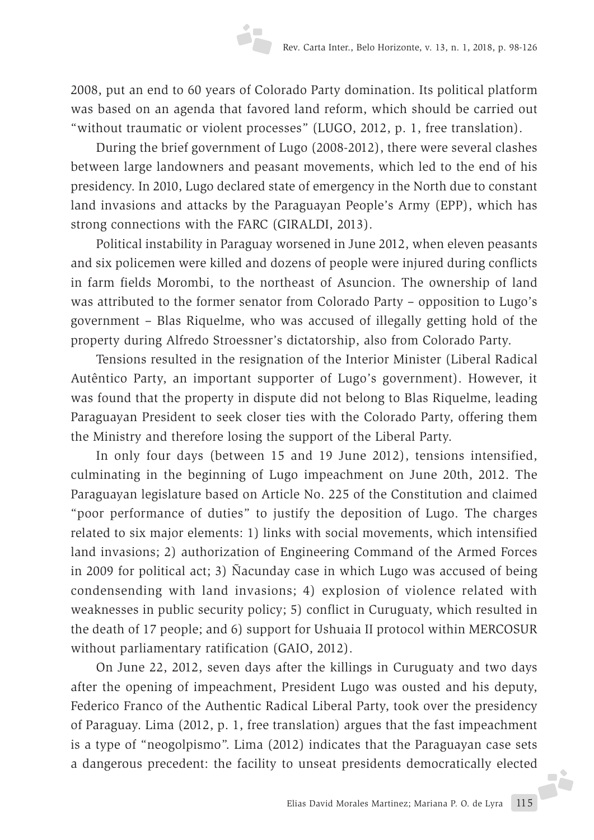2008, put an end to 60 years of Colorado Party domination. Its political platform was based on an agenda that favored land reform, which should be carried out "without traumatic or violent processes" (LUGO, 2012, p. 1, free translation).

During the brief government of Lugo (2008-2012), there were several clashes between large landowners and peasant movements, which led to the end of his presidency. In 2010, Lugo declared state of emergency in the North due to constant land invasions and attacks by the Paraguayan People's Army (EPP), which has strong connections with the FARC (GIRALDI, 2013).

Political instability in Paraguay worsened in June 2012, when eleven peasants and six policemen were killed and dozens of people were injured during conflicts in farm fields Morombi, to the northeast of Asuncion. The ownership of land was attributed to the former senator from Colorado Party – opposition to Lugo's government – Blas Riquelme, who was accused of illegally getting hold of the property during Alfredo Stroessner's dictatorship, also from Colorado Party.

Tensions resulted in the resignation of the Interior Minister (Liberal Radical Autêntico Party, an important supporter of Lugo's government). However, it was found that the property in dispute did not belong to Blas Riquelme, leading Paraguayan President to seek closer ties with the Colorado Party, offering them the Ministry and therefore losing the support of the Liberal Party.

In only four days (between 15 and 19 June 2012), tensions intensified, culminating in the beginning of Lugo impeachment on June 20th, 2012. The Paraguayan legislature based on Article No. 225 of the Constitution and claimed "poor performance of duties" to justify the deposition of Lugo. The charges related to six major elements: 1) links with social movements, which intensified land invasions; 2) authorization of Engineering Command of the Armed Forces in 2009 for political act; 3) Ñacunday case in which Lugo was accused of being condensending with land invasions; 4) explosion of violence related with weaknesses in public security policy; 5) conflict in Curuguaty, which resulted in the death of 17 people; and 6) support for Ushuaia II protocol within MERCOSUR without parliamentary ratification (GAIO, 2012).

On June 22, 2012, seven days after the killings in Curuguaty and two days after the opening of impeachment, President Lugo was ousted and his deputy, Federico Franco of the Authentic Radical Liberal Party, took over the presidency of Paraguay. Lima (2012, p. 1, free translation) argues that the fast impeachment is a type of "neogolpismo". Lima (2012) indicates that the Paraguayan case sets a dangerous precedent: the facility to unseat presidents democratically elected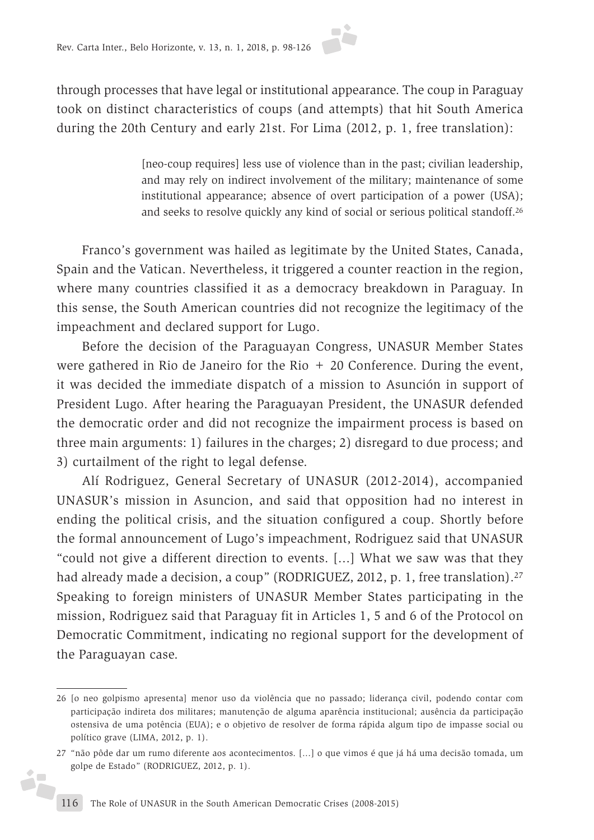through processes that have legal or institutional appearance. The coup in Paraguay took on distinct characteristics of coups (and attempts) that hit South America during the 20th Century and early 21st. For Lima (2012, p. 1, free translation):

> [neo-coup requires] less use of violence than in the past; civilian leadership, and may rely on indirect involvement of the military; maintenance of some institutional appearance; absence of overt participation of a power (USA); and seeks to resolve quickly any kind of social or serious political standoff.26

Franco's government was hailed as legitimate by the United States, Canada, Spain and the Vatican. Nevertheless, it triggered a counter reaction in the region, where many countries classified it as a democracy breakdown in Paraguay. In this sense, the South American countries did not recognize the legitimacy of the impeachment and declared support for Lugo.

Before the decision of the Paraguayan Congress, UNASUR Member States were gathered in Rio de Janeiro for the Rio  $+20$  Conference. During the event, it was decided the immediate dispatch of a mission to Asunción in support of President Lugo. After hearing the Paraguayan President, the UNASUR defended the democratic order and did not recognize the impairment process is based on three main arguments: 1) failures in the charges; 2) disregard to due process; and 3) curtailment of the right to legal defense.

Alí Rodriguez, General Secretary of UNASUR (2012-2014), accompanied UNASUR's mission in Asuncion, and said that opposition had no interest in ending the political crisis, and the situation configured a coup. Shortly before the formal announcement of Lugo's impeachment, Rodriguez said that UNASUR "could not give a different direction to events. [...] What we saw was that they had already made a decision, a coup" (RODRIGUEZ, 2012, p. 1, free translation).<sup>27</sup> Speaking to foreign ministers of UNASUR Member States participating in the mission, Rodriguez said that Paraguay fit in Articles 1, 5 and 6 of the Protocol on Democratic Commitment, indicating no regional support for the development of the Paraguayan case.

i,

<sup>26</sup> [o neo golpismo apresenta] menor uso da violência que no passado; liderança civil, podendo contar com participação indireta dos militares; manutenção de alguma aparência institucional; ausência da participação ostensiva de uma potência (EUA); e o objetivo de resolver de forma rápida algum tipo de impasse social ou político grave (LIMA, 2012, p. 1).

<sup>27</sup> "não pôde dar um rumo diferente aos acontecimentos. [...] o que vimos é que já há uma decisão tomada, um golpe de Estado" (RODRIGUEZ, 2012, p. 1).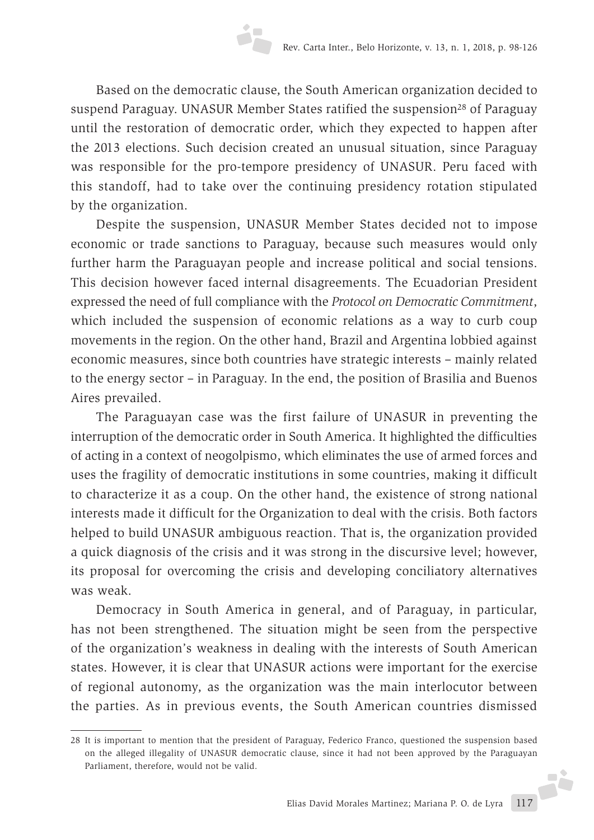Based on the democratic clause, the South American organization decided to suspend Paraguay. UNASUR Member States ratified the suspension<sup>28</sup> of Paraguay until the restoration of democratic order, which they expected to happen after the 2013 elections. Such decision created an unusual situation, since Paraguay was responsible for the pro-tempore presidency of UNASUR. Peru faced with this standoff, had to take over the continuing presidency rotation stipulated by the organization.

Despite the suspension, UNASUR Member States decided not to impose economic or trade sanctions to Paraguay, because such measures would only further harm the Paraguayan people and increase political and social tensions. This decision however faced internal disagreements. The Ecuadorian President expressed the need of full compliance with the *Protocol on Democratic Commitment*, which included the suspension of economic relations as a way to curb coup movements in the region. On the other hand, Brazil and Argentina lobbied against economic measures, since both countries have strategic interests – mainly related to the energy sector – in Paraguay. In the end, the position of Brasilia and Buenos Aires prevailed.

The Paraguayan case was the first failure of UNASUR in preventing the interruption of the democratic order in South America. It highlighted the difficulties of acting in a context of neogolpismo, which eliminates the use of armed forces and uses the fragility of democratic institutions in some countries, making it difficult to characterize it as a coup. On the other hand, the existence of strong national interests made it difficult for the Organization to deal with the crisis. Both factors helped to build UNASUR ambiguous reaction. That is, the organization provided a quick diagnosis of the crisis and it was strong in the discursive level; however, its proposal for overcoming the crisis and developing conciliatory alternatives was weak.

Democracy in South America in general, and of Paraguay, in particular, has not been strengthened. The situation might be seen from the perspective of the organization's weakness in dealing with the interests of South American states. However, it is clear that UNASUR actions were important for the exercise of regional autonomy, as the organization was the main interlocutor between the parties. As in previous events, the South American countries dismissed

<sup>28</sup> It is important to mention that the president of Paraguay, Federico Franco, questioned the suspension based on the alleged illegality of UNASUR democratic clause, since it had not been approved by the Paraguayan Parliament, therefore, would not be valid.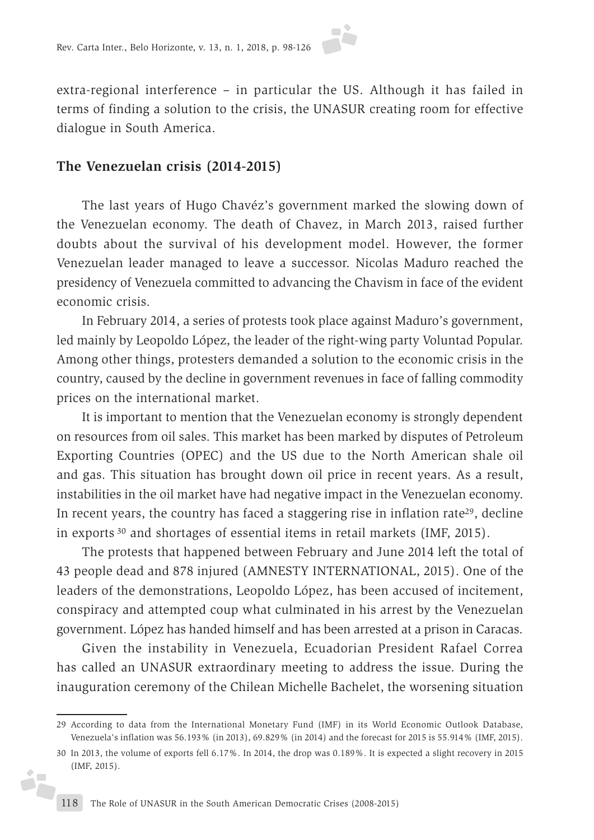

extra-regional interference – in particular the US. Although it has failed in terms of finding a solution to the crisis, the UNASUR creating room for effective dialogue in South America.

### **The Venezuelan crisis (2014-2015)**

The last years of Hugo Chavéz's government marked the slowing down of the Venezuelan economy. The death of Chavez, in March 2013, raised further doubts about the survival of his development model. However, the former Venezuelan leader managed to leave a successor. Nicolas Maduro reached the presidency of Venezuela committed to advancing the Chavism in face of the evident economic crisis.

In February 2014, a series of protests took place against Maduro's government, led mainly by Leopoldo López, the leader of the right-wing party Voluntad Popular. Among other things, protesters demanded a solution to the economic crisis in the country, caused by the decline in government revenues in face of falling commodity prices on the international market.

It is important to mention that the Venezuelan economy is strongly dependent on resources from oil sales. This market has been marked by disputes of Petroleum Exporting Countries (OPEC) and the US due to the North American shale oil and gas. This situation has brought down oil price in recent years. As a result, instabilities in the oil market have had negative impact in the Venezuelan economy. In recent years, the country has faced a staggering rise in inflation rate<sup>29</sup>, decline in exports 30 and shortages of essential items in retail markets (IMF, 2015).

The protests that happened between February and June 2014 left the total of 43 people dead and 878 injured (AMNESTY INTERNATIONAL, 2015). One of the leaders of the demonstrations, Leopoldo López, has been accused of incitement, conspiracy and attempted coup what culminated in his arrest by the Venezuelan government. López has handed himself and has been arrested at a prison in Caracas.

Given the instability in Venezuela, Ecuadorian President Rafael Correa has called an UNASUR extraordinary meeting to address the issue. During the inauguration ceremony of the Chilean Michelle Bachelet, the worsening situation

Ď.

<sup>29</sup> According to data from the International Monetary Fund (IMF) in its World Economic Outlook Database, Venezuela's inflation was 56.193% (in 2013), 69.829% (in 2014) and the forecast for 2015 is 55.914% (IMF, 2015).

<sup>30</sup> In 2013, the volume of exports fell 6.17%. In 2014, the drop was 0.189%. It is expected a slight recovery in 2015 (IMF, 2015).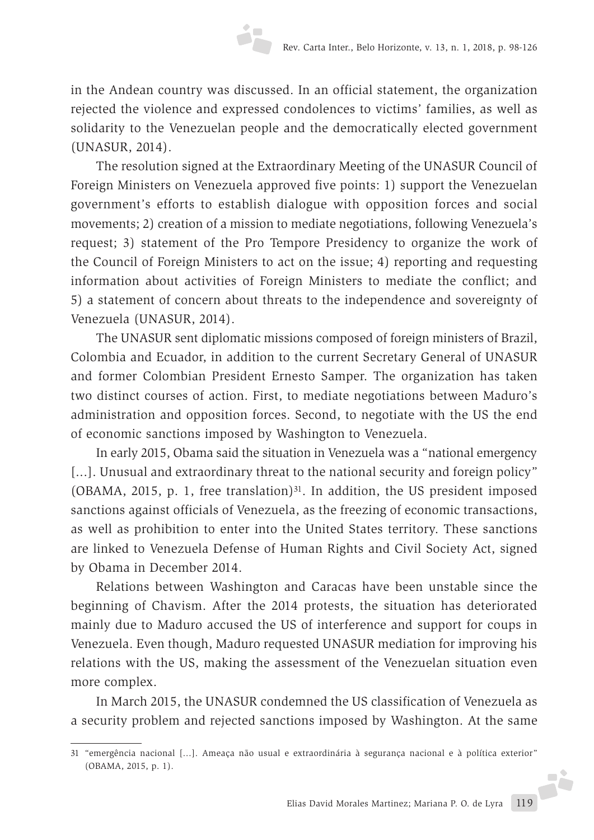in the Andean country was discussed. In an official statement, the organization rejected the violence and expressed condolences to victims' families, as well as solidarity to the Venezuelan people and the democratically elected government (UNASUR, 2014).

The resolution signed at the Extraordinary Meeting of the UNASUR Council of Foreign Ministers on Venezuela approved five points: 1) support the Venezuelan government's efforts to establish dialogue with opposition forces and social movements; 2) creation of a mission to mediate negotiations, following Venezuela's request; 3) statement of the Pro Tempore Presidency to organize the work of the Council of Foreign Ministers to act on the issue; 4) reporting and requesting information about activities of Foreign Ministers to mediate the conflict; and 5) a statement of concern about threats to the independence and sovereignty of Venezuela (UNASUR, 2014).

The UNASUR sent diplomatic missions composed of foreign ministers of Brazil, Colombia and Ecuador, in addition to the current Secretary General of UNASUR and former Colombian President Ernesto Samper. The organization has taken two distinct courses of action. First, to mediate negotiations between Maduro's administration and opposition forces. Second, to negotiate with the US the end of economic sanctions imposed by Washington to Venezuela.

In early 2015, Obama said the situation in Venezuela was a "national emergency [...]. Unusual and extraordinary threat to the national security and foreign policy" (OBAMA, 2015, p. 1, free translation) $31$ . In addition, the US president imposed sanctions against officials of Venezuela, as the freezing of economic transactions, as well as prohibition to enter into the United States territory. These sanctions are linked to Venezuela Defense of Human Rights and Civil Society Act, signed by Obama in December 2014.

Relations between Washington and Caracas have been unstable since the beginning of Chavism. After the 2014 protests, the situation has deteriorated mainly due to Maduro accused the US of interference and support for coups in Venezuela. Even though, Maduro requested UNASUR mediation for improving his relations with the US, making the assessment of the Venezuelan situation even more complex.

In March 2015, the UNASUR condemned the US classification of Venezuela as a security problem and rejected sanctions imposed by Washington. At the same

<sup>31</sup> "emergência nacional [...]. Ameaça não usual e extraordinária à segurança nacional e à política exterior" (OBAMA, 2015, p. 1).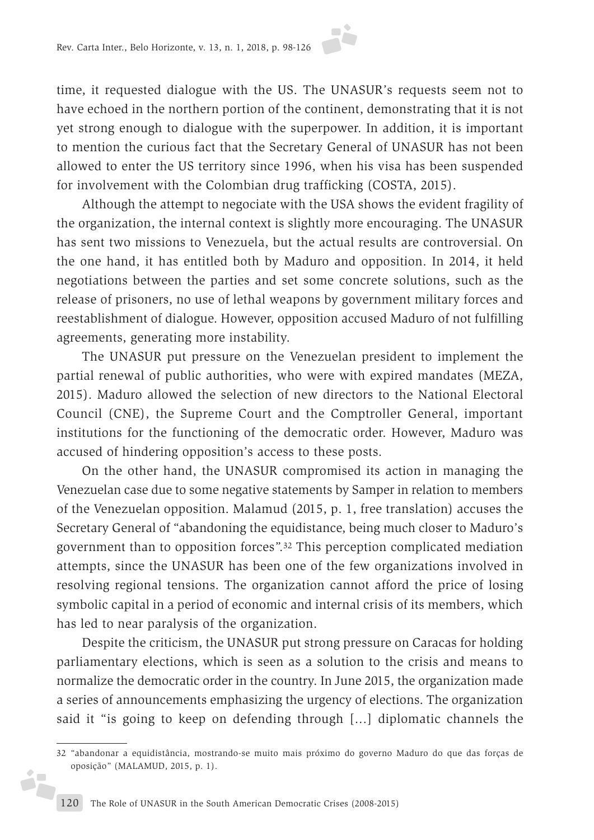time, it requested dialogue with the US. The UNASUR's requests seem not to have echoed in the northern portion of the continent, demonstrating that it is not yet strong enough to dialogue with the superpower. In addition, it is important to mention the curious fact that the Secretary General of UNASUR has not been allowed to enter the US territory since 1996, when his visa has been suspended for involvement with the Colombian drug trafficking (COSTA, 2015).

Although the attempt to negociate with the USA shows the evident fragility of the organization, the internal context is slightly more encouraging. The UNASUR has sent two missions to Venezuela, but the actual results are controversial. On the one hand, it has entitled both by Maduro and opposition. In 2014, it held negotiations between the parties and set some concrete solutions, such as the release of prisoners, no use of lethal weapons by government military forces and reestablishment of dialogue. However, opposition accused Maduro of not fulfilling agreements, generating more instability.

The UNASUR put pressure on the Venezuelan president to implement the partial renewal of public authorities, who were with expired mandates (MEZA, 2015). Maduro allowed the selection of new directors to the National Electoral Council (CNE), the Supreme Court and the Comptroller General, important institutions for the functioning of the democratic order. However, Maduro was accused of hindering opposition's access to these posts.

On the other hand, the UNASUR compromised its action in managing the Venezuelan case due to some negative statements by Samper in relation to members of the Venezuelan opposition. Malamud (2015, p. 1, free translation) accuses the Secretary General of "abandoning the equidistance, being much closer to Maduro's government than to opposition forces".32 This perception complicated mediation attempts, since the UNASUR has been one of the few organizations involved in resolving regional tensions. The organization cannot afford the price of losing symbolic capital in a period of economic and internal crisis of its members, which has led to near paralysis of the organization.

Despite the criticism, the UNASUR put strong pressure on Caracas for holding parliamentary elections, which is seen as a solution to the crisis and means to normalize the democratic order in the country. In June 2015, the organization made a series of announcements emphasizing the urgency of elections. The organization said it "is going to keep on defending through [...] diplomatic channels the

ó,

<sup>32</sup> "abandonar a equidistância, mostrando-se muito mais próximo do governo Maduro do que das forças de oposição" (MALAMUD, 2015, p. 1).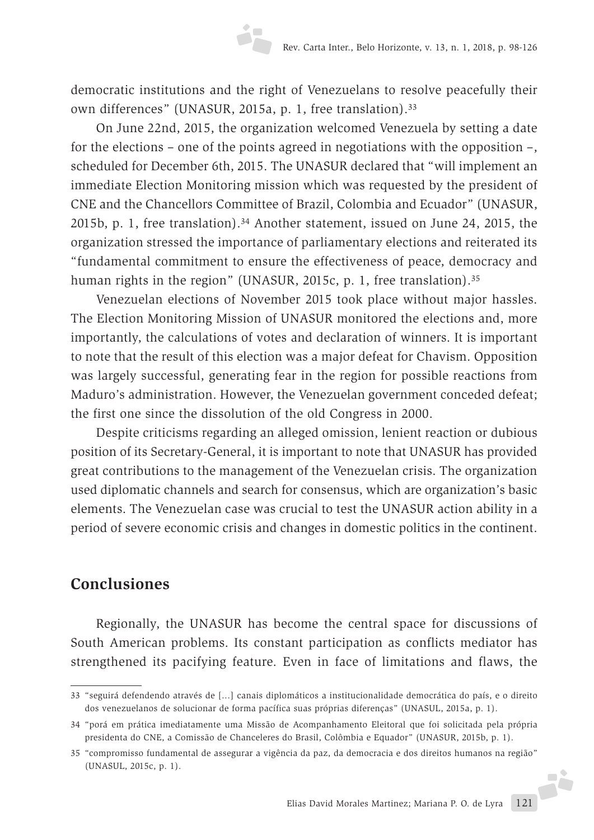democratic institutions and the right of Venezuelans to resolve peacefully their own differences" (UNASUR, 2015a, p. 1, free translation).33

On June 22nd, 2015, the organization welcomed Venezuela by setting a date for the elections – one of the points agreed in negotiations with the opposition –, scheduled for December 6th, 2015. The UNASUR declared that "will implement an immediate Election Monitoring mission which was requested by the president of CNE and the Chancellors Committee of Brazil, Colombia and Ecuador" (UNASUR, 2015b, p. 1, free translation).34 Another statement, issued on June 24, 2015, the organization stressed the importance of parliamentary elections and reiterated its "fundamental commitment to ensure the effectiveness of peace, democracy and human rights in the region" (UNASUR, 2015c, p. 1, free translation).<sup>35</sup>

Venezuelan elections of November 2015 took place without major hassles. The Election Monitoring Mission of UNASUR monitored the elections and, more importantly, the calculations of votes and declaration of winners. It is important to note that the result of this election was a major defeat for Chavism. Opposition was largely successful, generating fear in the region for possible reactions from Maduro's administration. However, the Venezuelan government conceded defeat; the first one since the dissolution of the old Congress in 2000.

Despite criticisms regarding an alleged omission, lenient reaction or dubious position of its Secretary-General, it is important to note that UNASUR has provided great contributions to the management of the Venezuelan crisis. The organization used diplomatic channels and search for consensus, which are organization's basic elements. The Venezuelan case was crucial to test the UNASUR action ability in a period of severe economic crisis and changes in domestic politics in the continent.

# **Conclusiones**

Regionally, the UNASUR has become the central space for discussions of South American problems. Its constant participation as conflicts mediator has strengthened its pacifying feature. Even in face of limitations and flaws, the

<sup>33</sup> "seguirá defendendo através de [...] canais diplomáticos a institucionalidade democrática do país, e o direito dos venezuelanos de solucionar de forma pacífica suas próprias diferenças" (UNASUL, 2015a, p. 1).

<sup>34</sup> "porá em prática imediatamente uma Missão de Acompanhamento Eleitoral que foi solicitada pela própria presidenta do CNE, a Comissão de Chanceleres do Brasil, Colômbia e Equador" (UNASUR, 2015b, p. 1).

<sup>35</sup> "compromisso fundamental de assegurar a vigência da paz, da democracia e dos direitos humanos na região" (UNASUL, 2015c, p. 1).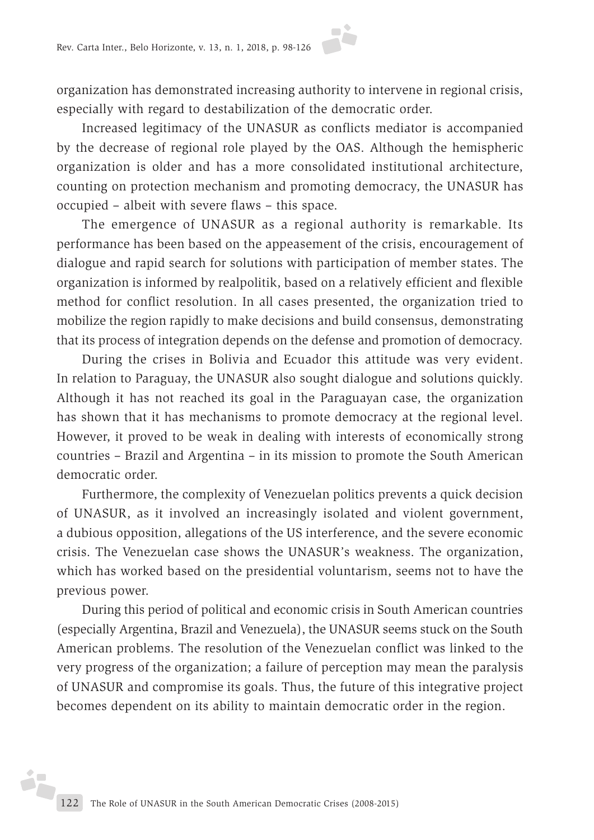organization has demonstrated increasing authority to intervene in regional crisis, especially with regard to destabilization of the democratic order.

Increased legitimacy of the UNASUR as conflicts mediator is accompanied by the decrease of regional role played by the OAS. Although the hemispheric organization is older and has a more consolidated institutional architecture, counting on protection mechanism and promoting democracy, the UNASUR has occupied – albeit with severe flaws – this space.

The emergence of UNASUR as a regional authority is remarkable. Its performance has been based on the appeasement of the crisis, encouragement of dialogue and rapid search for solutions with participation of member states. The organization is informed by realpolitik, based on a relatively efficient and flexible method for conflict resolution. In all cases presented, the organization tried to mobilize the region rapidly to make decisions and build consensus, demonstrating that its process of integration depends on the defense and promotion of democracy.

During the crises in Bolivia and Ecuador this attitude was very evident. In relation to Paraguay, the UNASUR also sought dialogue and solutions quickly. Although it has not reached its goal in the Paraguayan case, the organization has shown that it has mechanisms to promote democracy at the regional level. However, it proved to be weak in dealing with interests of economically strong countries – Brazil and Argentina – in its mission to promote the South American democratic order.

Furthermore, the complexity of Venezuelan politics prevents a quick decision of UNASUR, as it involved an increasingly isolated and violent government, a dubious opposition, allegations of the US interference, and the severe economic crisis. The Venezuelan case shows the UNASUR's weakness. The organization, which has worked based on the presidential voluntarism, seems not to have the previous power.

During this period of political and economic crisis in South American countries (especially Argentina, Brazil and Venezuela), the UNASUR seems stuck on the South American problems. The resolution of the Venezuelan conflict was linked to the very progress of the organization; a failure of perception may mean the paralysis of UNASUR and compromise its goals. Thus, the future of this integrative project becomes dependent on its ability to maintain democratic order in the region.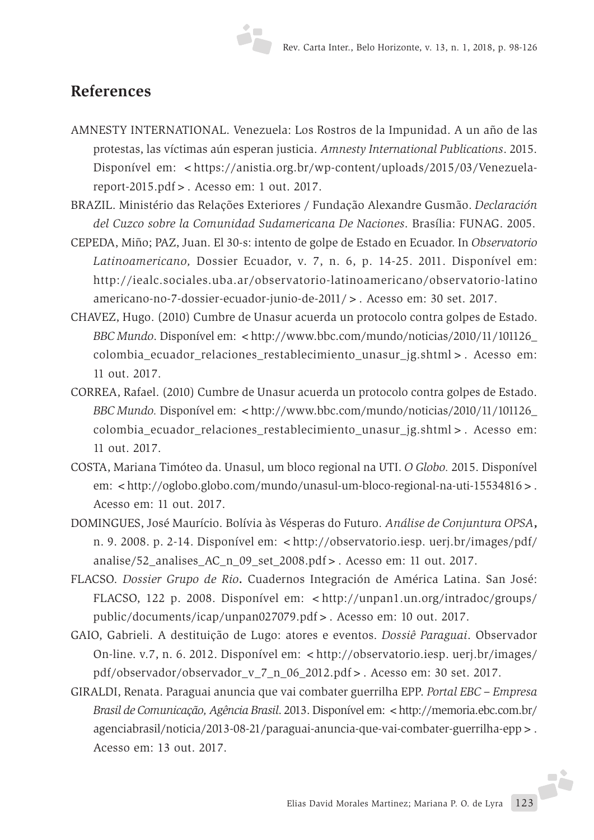### **References**

- AMNESTY INTERNATIONAL. Venezuela: Los Rostros de la Impunidad. A un año de las protestas, las víctimas aún esperan justicia. *Amnesty International Publications*. 2015. Disponível em: <https://anistia.org.br/wp-content/uploads/2015/03/Venezuelareport-2015.pdf>. Acesso em: 1 out. 2017.
- BRAZIL. Ministério das Relações Exteriores / Fundação Alexandre Gusmão. *Declaración del Cuzco sobre la Comunidad Sudamericana De Naciones*. Brasília: FUNAG. 2005.
- CEPEDA, Miño; PAZ, Juan. El 30-s: intento de golpe de Estado en Ecuador. In *Observatorio Latinoamericano,* Dossier Ecuador, v. 7, n. 6, p. 14-25. 2011. Disponível em: http://iealc.sociales.uba.ar/observatorio-latinoamericano/observatorio-latino americano-no-7-dossier-ecuador-junio-de-2011/>. Acesso em: 30 set. 2017.
- CHAVEZ, Hugo. (2010) Cumbre de Unasur acuerda un protocolo contra golpes de Estado. *BBC Mundo*. Disponível em: <http://www.bbc.com/mundo/noticias/2010/11/101126\_ colombia\_ecuador\_relaciones\_restablecimiento\_unasur\_jg.shtml>. Acesso em: 11 out. 2017.
- CORREA, Rafael. (2010) Cumbre de Unasur acuerda un protocolo contra golpes de Estado. *BBC Mundo. Disponível em: <http://www.bbc.com/mundo/noticias/2010/11/101126\_* colombia\_ecuador\_relaciones\_restablecimiento\_unasur\_jg.shtml>. Acesso em: 11 out. 2017.
- COSTA, Mariana Timóteo da. Unasul, um bloco regional na UTI. *O Globo.* 2015. Disponível em: <http://oglobo.globo.com/mundo/unasul-um-bloco-regional-na-uti-15534816>. Acesso em: 11 out. 2017.
- DOMINGUES, José Maurício. Bolívia às Vésperas do Futuro. *Análise de Conjuntura OPSA***,** n. 9. 2008. p. 2-14. Disponível em: <http://observatorio.iesp. uerj.br/images/pdf/ analise/52\_analises\_AC\_n\_09\_set\_2008.pdf>. Acesso em: 11 out. 2017.
- FLACSO. *Dossier Grupo de Rio***.** Cuadernos Integración de América Latina. San José: FLACSO, 122 p. 2008. Disponível em: <http://unpan1.un.org/intradoc/groups/ public/documents/icap/unpan027079.pdf>. Acesso em: 10 out. 2017.
- GAIO, Gabrieli. A destituição de Lugo: atores e eventos. *Dossiê Paraguai*. Observador On-line. v.7, n. 6. 2012. Disponível em: <http://observatorio.iesp. uerj.br/images/ pdf/observador/observador\_v\_7\_n\_06\_2012.pdf>. Acesso em: 30 set. 2017.
- GIRALDI, Renata. Paraguai anuncia que vai combater guerrilha EPP. *Portal EBC Empresa Brasil de Comunicação, Agência Brasil*. 2013. Disponível em: <http://memoria.ebc.com.br/ agenciabrasil/noticia/2013-08-21/paraguai-anuncia-que-vai-combater-guerrilha-epp>. Acesso em: 13 out. 2017.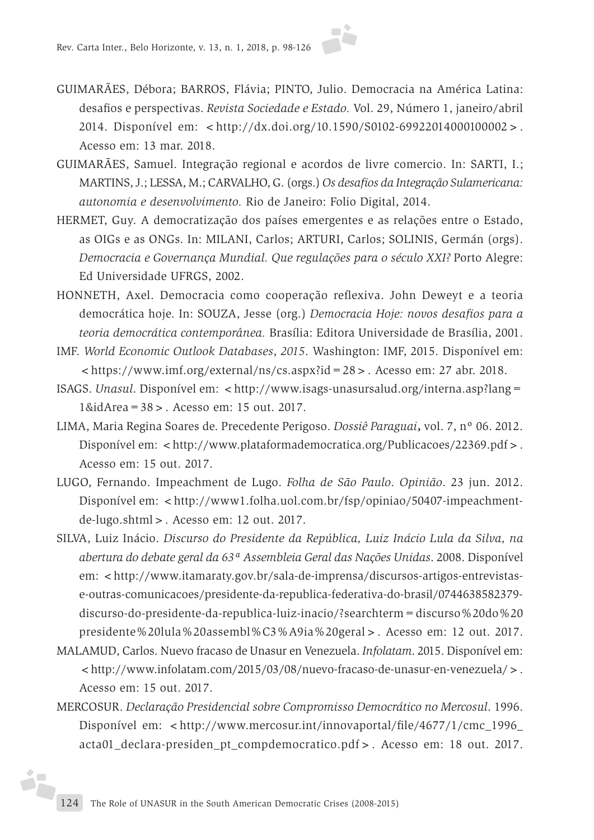

- GUIMARÃES, Débora; BARROS, Flávia; PINTO, Julio. Democracia na América Latina: desafios e perspectivas. *Revista Sociedade e Estado.* Vol. 29, Número 1, janeiro/abril 2014. Disponível em: <http://dx.doi.org/10.1590/S0102-69922014000100002>. Acesso em: 13 mar. 2018.
- GUIMARÃES, Samuel. Integração regional e acordos de livre comercio. In: SARTI, I.; MARTINS, J.; LESSA, M.; CARVALHO, G. (orgs.) *Os desafios da Integração Sulamericana: autonomia e desenvolvimento.* Rio de Janeiro: Folio Digital, 2014.
- HERMET, Guy. A democratização dos países emergentes e as relações entre o Estado, as OIGs e as ONGs. In: MILANI, Carlos; ARTURI, Carlos; SOLINIS, Germán (orgs). *Democracia e Governança Mundial. Que regulações para o século XXI?* Porto Alegre: Ed Universidade UFRGS, 2002.
- HONNETH, Axel. Democracia como cooperação reflexiva. John Deweyt e a teoria democrática hoje. In: SOUZA, Jesse (org.) *Democracia Hoje: novos desafios para a teoria democrática contemporânea.* Brasília: Editora Universidade de Brasília, 2001.
- IMF. *World Economic Outlook Databases*, *2015*. Washington: IMF, 2015. Disponível em:  $\langle$ https://www.imf.org/external/ns/cs.aspx?id=28>. Acesso em: 27 abr. 2018.
- ISAGS. *Unasul*. Disponível em: <http://www.isags-unasursalud.org/interna.asp?lang= 1&idArea=38>. Acesso em: 15 out. 2017.
- LIMA, Maria Regina Soares de. Precedente Perigoso. *Dossiê Paraguai***,** vol. 7, nº 06. 2012. Disponível em: <http://www.plataformademocratica.org/Publicacoes/22369.pdf>. Acesso em: 15 out. 2017.
- LUGO, Fernando. Impeachment de Lugo. *Folha de São Paulo*. *Opinião*. 23 jun. 2012. Disponível em: <http://www1.folha.uol.com.br/fsp/opiniao/50407-impeachmentde-lugo.shtml>. Acesso em: 12 out. 2017.
- SILVA, Luiz Inácio. *Discurso do Presidente da República, Luiz Inácio Lula da Silva, na abertura do debate geral da 63ª Assembleia Geral das Nações Unidas*. 2008. Disponível em: <http://www.itamaraty.gov.br/sala-de-imprensa/discursos-artigos-entrevistase-outras-comunicacoes/presidente-da-republica-federativa-do-brasil/0744638582379 discurso-do-presidente-da-republica-luiz-inacio/?searchterm=discurso%20do%20 presidente%20lula%20assembl%C3%A9ia%20geral>. Acesso em: 12 out. 2017.
- MALAMUD, Carlos. Nuevo fracaso de Unasur en Venezuela. *Infolatam*. 2015. Disponível em: <http://www.infolatam.com/2015/03/08/nuevo-fracaso-de-unasur-en-venezuela/>. Acesso em: 15 out. 2017.
- MERCOSUR. *Declaração Presidencial sobre Compromisso Democrático no Mercosul*. 1996. Disponível em: <http://www.mercosur.int/innovaportal/file/4677/1/cmc\_1996 acta01\_declara-presiden\_pt\_compdemocratico.pdf>. Acesso em: 18 out. 2017.

ż.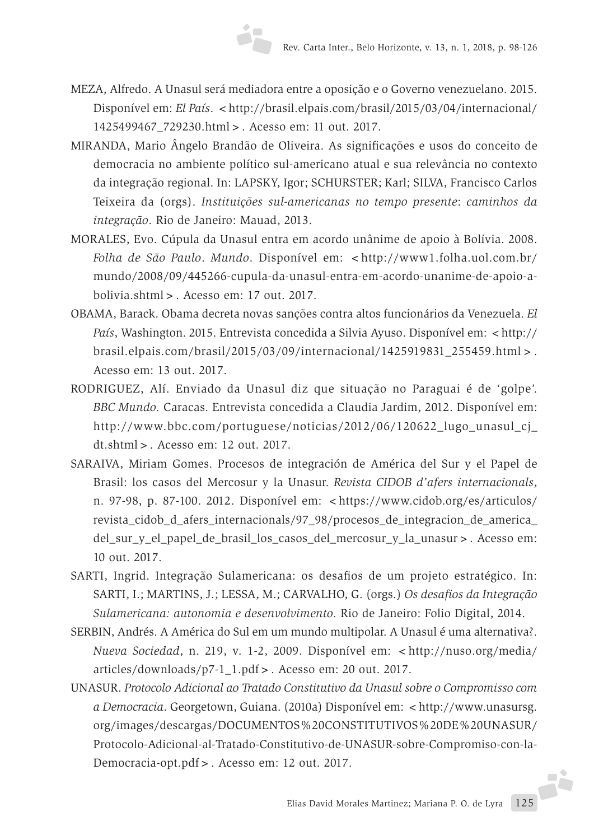- MEZA, Alfredo. A Unasul será mediadora entre a oposição e o Governo venezuelano. 2015. Disponível em: *El País.* < http://brasil.elpais.com/brasil/2015/03/04/internacional/ 1425499467\_729230.html>. Acesso em: 11 out. 2017.
- MIRANDA, Mario Ângelo Brandão de Oliveira. As significações e usos do conceito de democracia no ambiente político sul-americano atual e sua relevância no contexto da integração regional. In: LAPSKY, Igor; SCHURSTER; Karl; SILVA, Francisco Carlos Teixeira da (orgs). *Instituições sul-americanas no tempo presente*: *caminhos da integração*. Rio de Janeiro: Mauad, 2013.
- MORALES, Evo. Cúpula da Unasul entra em acordo unânime de apoio à Bolívia. 2008. *Folha de São Paulo*. *Mundo*. Disponível em: <http://www1.folha.uol.com.br/ mundo/2008/09/445266-cupula-da-unasul-entra-em-acordo-unanime-de-apoio-abolivia.shtml>. Acesso em: 17 out. 2017.
- OBAMA, Barack. Obama decreta novas sanções contra altos funcionários da Venezuela. *El País*, Washington. 2015. Entrevista concedida a Silvia Ayuso. Disponível em: <http:// brasil.elpais.com/brasil/2015/03/09/internacional/1425919831\_255459.html>. Acesso em: 13 out. 2017.
- RODRIGUEZ, Alí. Enviado da Unasul diz que situação no Paraguai é de 'golpe'. *BBC Mundo.* Caracas. Entrevista concedida a Claudia Jardim, 2012. Disponível em: http://www.bbc.com/portuguese/noticias/2012/06/120622\_lugo\_unasul\_cj\_ dt.shtml>. Acesso em: 12 out. 2017.
- SARAIVA, Miriam Gomes. Procesos de integración de América del Sur y el Papel de Brasil: los casos del Mercosur y la Unasur. *Revista CIDOB d'afers internacionals*, n. 97-98, p. 87-100. 2012. Disponível em: <https://www.cidob.org/es/articulos/ revista\_cidob\_d\_afers\_internacionals/97\_98/procesos\_de\_integracion\_de\_america\_ del\_sur\_y\_el\_papel\_de\_brasil\_los\_casos\_del\_mercosur\_y\_la\_unasur>. Acesso em: 10 out. 2017.
- SARTI, Ingrid. Integração Sulamericana: os desafios de um projeto estratégico. In: SARTI, I.; MARTINS, J.; LESSA, M.; CARVALHO, G. (orgs.) *Os desafios da Integração Sulamericana: autonomia e desenvolvimento.* Rio de Janeiro: Folio Digital, 2014.
- SERBIN, Andrés. A América do Sul em um mundo multipolar. A Unasul é uma alternativa?. *Nueva Sociedad*, n. 219, v. 1-2, 2009. Disponível em: <http://nuso.org/media/ articles/downloads/p7-1\_1.pdf>. Acesso em: 20 out. 2017.
- UNASUR. *Protocolo Adicional ao Tratado Constitutivo da Unasul sobre o Compromisso com a Democracia*. Georgetown, Guiana. (2010a) Disponível em: <http://www.unasursg. org/images/descargas/DOCUMENTOS%20CONSTITUTIVOS%20DE%20UNASUR/ Protocolo-Adicional-al-Tratado-Constitutivo-de-UNASUR-sobre-Compromiso-con-la-Democracia-opt.pdf>. Acesso em: 12 out. 2017.